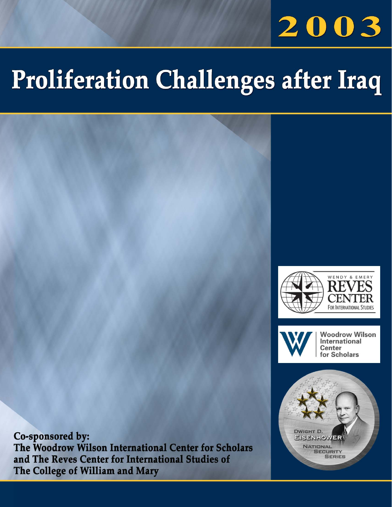# 2003

# **Proliferation Challenges after Iraq**





**Woodrow Wilson** International **Center** for Scholars



Co-sponsored by: The Woodrow Wilson International Center for Scholars and The Reves Center for International Studies of The College of William and Mary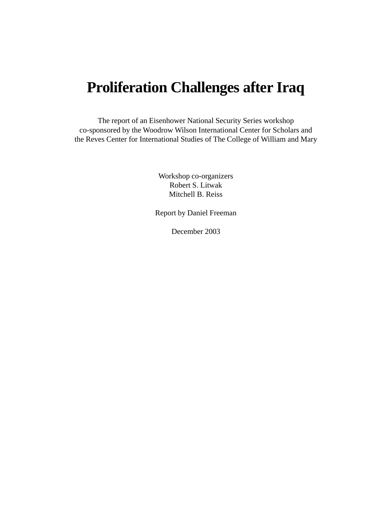# **Proliferation Challenges after Iraq**

The report of an Eisenhower National Security Series workshop co-sponsored by the Woodrow Wilson International Center for Scholars and the Reves Center for International Studies of The College of William and Mary

> Workshop co-organizers Robert S. Litwak Mitchell B. Reiss

Report by Daniel Freeman

December 2003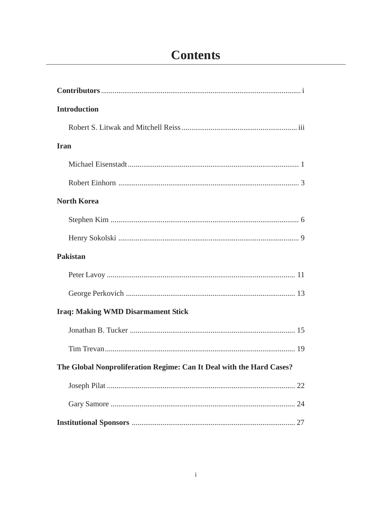# **Contents**

| <b>Introduction</b>                                                  |
|----------------------------------------------------------------------|
|                                                                      |
| <b>Iran</b>                                                          |
|                                                                      |
|                                                                      |
| <b>North Korea</b>                                                   |
|                                                                      |
|                                                                      |
| <b>Pakistan</b>                                                      |
|                                                                      |
|                                                                      |
| <b>Iraq: Making WMD Disarmament Stick</b>                            |
|                                                                      |
|                                                                      |
| The Global Nonproliferation Regime: Can It Deal with the Hard Cases? |
|                                                                      |
|                                                                      |
|                                                                      |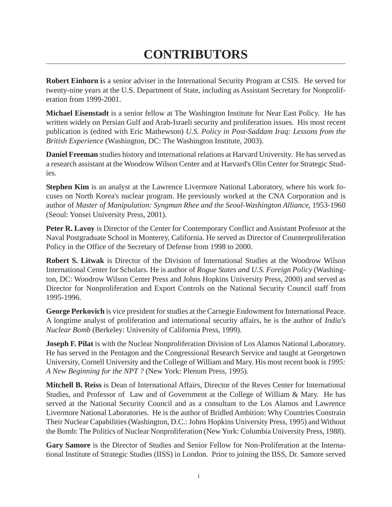# **CONTRIBUTORS**

**Robert Einhorn i**s a senior adviser in the International Security Program at CSIS. He served for twenty-nine years at the U.S. Department of State, including as Assistant Secretary for Nonproliferation from 1999-2001.

**Michael Eisenstadt** is a senior fellow at The Washington Institute for Near East Policy. He has written widely on Persian Gulf and Arab-Israeli security and proliferation issues. His most recent publication is (edited with Eric Mathewson) *U.S. Policy in Post-Saddam Iraq: Lessons from the British Experience* (Washington, DC: The Washington Institute, 2003).

**Daniel Freeman** studies history and international relations at Harvard University. He has served as a research assistant at the Woodrow Wilson Center and at Harvard's Olin Center for Strategic Studies.

**Stephen Kim** is an analyst at the Lawrence Livermore National Laboratory, where his work focuses on North Korea's nuclear program. He previously worked at the CNA Corporation and is author of *Master of Manipulation: Syngman Rhee and the Seoul-Washington Alliance*, 1953-1960 (Seoul: Yonsei University Press, 2001).

**Peter R. Lavoy** is Director of the Center for Contemporary Conflict and Assistant Professor at the Naval Postgraduate School in Monterey, California. He served as Director of Counterproliferation Policy in the Office of the Secretary of Defense from 1998 to 2000.

**Robert S. Litwak** is Director of the Division of International Studies at the Woodrow Wilson International Center for Scholars. He is author of *Rogue States and U.S. Foreign Policy* (Washington, DC: Woodrow Wilson Center Press and Johns Hopkins University Press, 2000) and served as Director for Nonproliferation and Export Controls on the National Security Council staff from 1995-1996.

**George Perkovich** is vice president for studies at the Carnegie Endowment for International Peace. A longtime analyst of proliferation and international security affairs, he is the author of *India's Nuclear Bomb* (Berkeley: University of California Press, 1999).

**Joseph F. Pilat** is with the Nuclear Nonproliferation Division of Los Alamos National Laboratory. He has served in the Pentagon and the Congressional Research Service and taught at Georgetown University, Cornell University and the College of William and Mary. His most recent book is *1995: A New Beginning for the NPT ?* (New York: Plenum Press, 1995).

**Mitchell B. Reiss** is Dean of International Affairs, Director of the Reves Center for International Studies, and Professor of Law and of Government at the College of William & Mary. He has served at the National Security Council and as a consultant to the Los Alamos and Lawrence Livermore National Laboratories. He is the author of Bridled Ambition: Why Countries Constrain Their Nuclear Capabilities (Washington, D.C.: Johns Hopkins University Press, 1995) and Without the Bomb: The Politics of Nuclear Nonproliferation (New York: Columbia University Press, 1988).

**Gary Samore** is the Director of Studies and Senior Fellow for Non-Proliferation at the International Institute of Strategic Studies (IISS) in London. Prior to joining the IISS, Dr. Samore served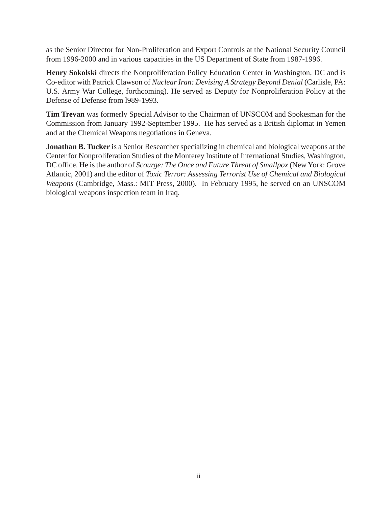as the Senior Director for Non-Proliferation and Export Controls at the National Security Council from 1996-2000 and in various capacities in the US Department of State from 1987-1996.

**Henry Sokolski** directs the Nonproliferation Policy Education Center in Washington, DC and is Co-editor with Patrick Clawson of *Nuclear Iran: Devising A Strategy Beyond Denial* (Carlisle, PA: U.S. Army War College, forthcoming). He served as Deputy for Nonproliferation Policy at the Defense of Defense from l989-1993.

**Tim Trevan** was formerly Special Advisor to the Chairman of UNSCOM and Spokesman for the Commission from January 1992-September 1995. He has served as a British diplomat in Yemen and at the Chemical Weapons negotiations in Geneva.

**Jonathan B. Tucker** is a Senior Researcher specializing in chemical and biological weapons at the Center for Nonproliferation Studies of the Monterey Institute of International Studies, Washington, DC office. He is the author of *Scourge: The Once and Future Threat of Smallpox* (New York: Grove Atlantic, 2001) and the editor of *Toxic Terror: Assessing Terrorist Use of Chemical and Biological Weapons* (Cambridge, Mass.: MIT Press, 2000). In February 1995, he served on an UNSCOM biological weapons inspection team in Iraq.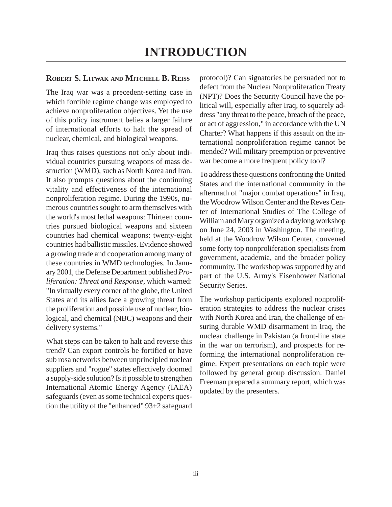## **ROBERT S. LITWAK AND MITCHELL B. REISS**

The Iraq war was a precedent-setting case in which forcible regime change was employed to achieve nonproliferation objectives. Yet the use of this policy instrument belies a larger failure of international efforts to halt the spread of nuclear, chemical, and biological weapons.

Iraq thus raises questions not only about individual countries pursuing weapons of mass destruction (WMD), such as North Korea and Iran. It also prompts questions about the continuing vitality and effectiveness of the international nonproliferation regime. During the 1990s, numerous countries sought to arm themselves with the world's most lethal weapons: Thirteen countries pursued biological weapons and sixteen countries had chemical weapons; twenty-eight countries had ballistic missiles. Evidence showed a growing trade and cooperation among many of these countries in WMD technologies. In January 2001, the Defense Department published *Proliferation: Threat and Response*, which warned: "In virtually every corner of the globe, the United States and its allies face a growing threat from the proliferation and possible use of nuclear, biological, and chemical (NBC) weapons and their delivery systems."

What steps can be taken to halt and reverse this trend? Can export controls be fortified or have sub rosa networks between unprincipled nuclear suppliers and "rogue" states effectively doomed a supply-side solution? Is it possible to strengthen International Atomic Energy Agency (IAEA) safeguards (even as some technical experts question the utility of the "enhanced" 93+2 safeguard

protocol)? Can signatories be persuaded not to defect from the Nuclear Nonproliferation Treaty (NPT)? Does the Security Council have the political will, especially after Iraq, to squarely address "any threat to the peace, breach of the peace, or act of aggression," in accordance with the UN Charter? What happens if this assault on the international nonproliferation regime cannot be mended? Will military preemption or preventive war become a more frequent policy tool?

To address these questions confronting the United States and the international community in the aftermath of "major combat operations" in Iraq, the Woodrow Wilson Center and the Reves Center of International Studies of The College of William and Mary organized a daylong workshop on June 24, 2003 in Washington. The meeting, held at the Woodrow Wilson Center, convened some forty top nonproliferation specialists from government, academia, and the broader policy community. The workshop was supported by and part of the U.S. Army's Eisenhower National Security Series.

The workshop participants explored nonproliferation strategies to address the nuclear crises with North Korea and Iran, the challenge of ensuring durable WMD disarmament in Iraq, the nuclear challenge in Pakistan (a front-line state in the war on terrorism), and prospects for reforming the international nonproliferation regime. Expert presentations on each topic were followed by general group discussion. Daniel Freeman prepared a summary report, which was updated by the presenters.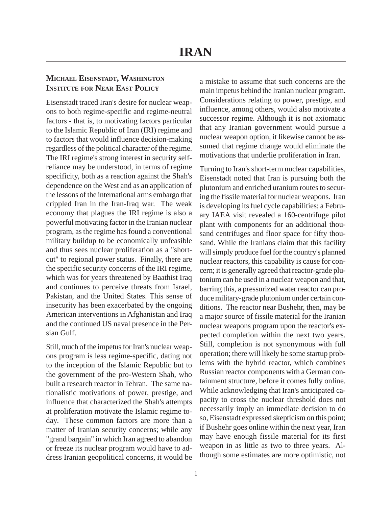# **MICHAEL EISENSTADT, WASHINGTON INSTITUTE FOR NEAR EAST POLICY**

Eisenstadt traced Iran's desire for nuclear weapons to both regime-specific and regime-neutral factors - that is, to motivating factors particular to the Islamic Republic of Iran (IRI) regime and to factors that would influence decision-making regardless of the political character of the regime. The IRI regime's strong interest in security selfreliance may be understood, in terms of regime specificity, both as a reaction against the Shah's dependence on the West and as an application of the lessons of the international arms embargo that crippled Iran in the Iran-Iraq war. The weak economy that plagues the IRI regime is also a powerful motivating factor in the Iranian nuclear program, as the regime has found a conventional military buildup to be economically unfeasible and thus sees nuclear proliferation as a "shortcut" to regional power status. Finally, there are the specific security concerns of the IRI regime, which was for years threatened by Baathist Iraq and continues to perceive threats from Israel, Pakistan, and the United States. This sense of insecurity has been exacerbated by the ongoing American interventions in Afghanistan and Iraq and the continued US naval presence in the Persian Gulf.

Still, much of the impetus for Iran's nuclear weapons program is less regime-specific, dating not to the inception of the Islamic Republic but to the government of the pro-Western Shah, who built a research reactor in Tehran. The same nationalistic motivations of power, prestige, and influence that characterized the Shah's attempts at proliferation motivate the Islamic regime today. These common factors are more than a matter of Iranian security concerns; while any "grand bargain" in which Iran agreed to abandon or freeze its nuclear program would have to address Iranian geopolitical concerns, it would be a mistake to assume that such concerns are the main impetus behind the Iranian nuclear program. Considerations relating to power, prestige, and influence, among others, would also motivate a successor regime. Although it is not axiomatic that any Iranian government would pursue a nuclear weapon option, it likewise cannot be assumed that regime change would eliminate the motivations that underlie proliferation in Iran.

Turning to Iran's short-term nuclear capabilities, Eisenstadt noted that Iran is pursuing both the plutonium and enriched uranium routes to securing the fissile material for nuclear weapons. Iran is developing its fuel cycle capabilities; a February IAEA visit revealed a 160-centrifuge pilot plant with components for an additional thousand centrifuges and floor space for fifty thousand. While the Iranians claim that this facility will simply produce fuel for the country's planned nuclear reactors, this capability is cause for concern; it is generally agreed that reactor-grade plutonium can be used in a nuclear weapon and that, barring this, a pressurized water reactor can produce military-grade plutonium under certain conditions. The reactor near Bushehr, then, may be a major source of fissile material for the Iranian nuclear weapons program upon the reactor's expected completion within the next two years. Still, completion is not synonymous with full operation; there will likely be some startup problems with the hybrid reactor, which combines Russian reactor components with a German containment structure, before it comes fully online. While acknowledging that Iran's anticipated capacity to cross the nuclear threshold does not necessarily imply an immediate decision to do so, Eisenstadt expressed skepticism on this point; if Bushehr goes online within the next year, Iran may have enough fissile material for its first weapon in as little as two to three years. Although some estimates are more optimistic, not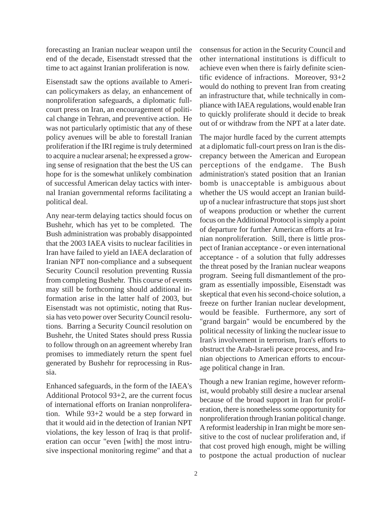forecasting an Iranian nuclear weapon until the end of the decade, Eisenstadt stressed that the time to act against Iranian proliferation is now.

Eisenstadt saw the options available to American policymakers as delay, an enhancement of nonproliferation safeguards, a diplomatic fullcourt press on Iran, an encouragement of political change in Tehran, and preventive action. He was not particularly optimistic that any of these policy avenues will be able to forestall Iranian proliferation if the IRI regime is truly determined to acquire a nuclear arsenal; he expressed a growing sense of resignation that the best the US can hope for is the somewhat unlikely combination of successful American delay tactics with internal Iranian governmental reforms facilitating a political deal.

Any near-term delaying tactics should focus on Bushehr, which has yet to be completed. The Bush administration was probably disappointed that the 2003 IAEA visits to nuclear facilities in Iran have failed to yield an IAEA declaration of Iranian NPT non-compliance and a subsequent Security Council resolution preventing Russia from completing Bushehr. This course of events may still be forthcoming should additional information arise in the latter half of 2003, but Eisenstadt was not optimistic, noting that Russia has veto power over Security Council resolutions. Barring a Security Council resolution on Bushehr, the United States should press Russia to follow through on an agreement whereby Iran promises to immediately return the spent fuel generated by Bushehr for reprocessing in Russia.

Enhanced safeguards, in the form of the IAEA's Additional Protocol 93+2, are the current focus of international efforts on Iranian nonproliferation. While 93+2 would be a step forward in that it would aid in the detection of Iranian NPT violations, the key lesson of Iraq is that proliferation can occur "even [with] the most intrusive inspectional monitoring regime" and that a consensus for action in the Security Council and other international institutions is difficult to achieve even when there is fairly definite scientific evidence of infractions. Moreover, 93+2 would do nothing to prevent Iran from creating an infrastructure that, while technically in compliance with IAEA regulations, would enable Iran to quickly proliferate should it decide to break out of or withdraw from the NPT at a later date.

The major hurdle faced by the current attempts at a diplomatic full-court press on Iran is the discrepancy between the American and European perceptions of the endgame. The Bush administration's stated position that an Iranian bomb is unacceptable is ambiguous about whether the US would accept an Iranian buildup of a nuclear infrastructure that stops just short of weapons production or whether the current focus on the Additional Protocol is simply a point of departure for further American efforts at Iranian nonproliferation. Still, there is little prospect of Iranian acceptance - or even international acceptance - of a solution that fully addresses the threat posed by the Iranian nuclear weapons program. Seeing full dismantlement of the program as essentially impossible, Eisenstadt was skeptical that even his second-choice solution, a freeze on further Iranian nuclear development, would be feasible. Furthermore, any sort of "grand bargain" would be encumbered by the political necessity of linking the nuclear issue to Iran's involvement in terrorism, Iran's efforts to obstruct the Arab-Israeli peace process, and Iranian objections to American efforts to encourage political change in Iran.

Though a new Iranian regime, however reformist, would probably still desire a nuclear arsenal because of the broad support in Iran for proliferation, there is nonetheless some opportunity for nonproliferation through Iranian political change. A reformist leadership in Iran might be more sensitive to the cost of nuclear proliferation and, if that cost proved high enough, might be willing to postpone the actual production of nuclear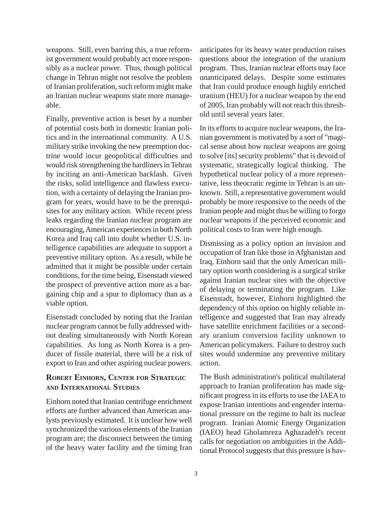weapons. Still, even barring this, a true reformist government would probably act more responsibly as a nuclear power. Thus, though political change in Tehran might not resolve the problem of Iranian proliferation, such reform might make an Iranian nuclear weapons state more manageable.

Finally, preventive action is beset by a number of potential costs both in domestic Iranian politics and in the international community. A U.S. military strike invoking the new preemption doctrine would incur geopolitical difficulties and would risk strengthening the hardliners in Tehran by inciting an anti-American backlash. Given the risks, solid intelligence and flawless execution, with a certainty of delaying the Iranian program for years, would have to be the prerequisites for any military action. While recent press leaks regarding the Iranian nuclear program are encouraging, American experiences in both North Korea and Iraq call into doubt whether U.S. intelligence capabilities are adequate to support a preventive military option. As a result, while he admitted that it might be possible under certain conditions, for the time being, Eisenstadt viewed the prospect of preventive action more as a bargaining chip and a spur to diplomacy than as a viable option.

Eisenstadt concluded by noting that the Iranian nuclear program cannot be fully addressed without dealing simultaneously with North Korean capabilities. As long as North Korea is a producer of fissile material, there will be a risk of export to Iran and other aspiring nuclear powers.

# **ROBERT EINHORN, CENTER FOR STRATEGIC AND INTERNATIONAL STUDIES**

Einhorn noted that Iranian centrifuge enrichment efforts are further advanced than American analysts previously estimated. It is unclear how well synchronized the various elements of the Iranian program are; the disconnect between the timing of the heavy water facility and the timing Iran

anticipates for its heavy water production raises questions about the integration of the uranium program. Thus, Iranian nuclear efforts may face unanticipated delays. Despite some estimates that Iran could produce enough highly enriched uranium (HEU) for a nuclear weapon by the end of 2005, Iran probably will not reach this threshold until several years later.

In its efforts to acquire nuclear weapons, the Iranian government is motivated by a sort of "magical sense about how nuclear weapons are going to solve [its] security problems" that is devoid of systematic, strategically logical thinking. The hypothetical nuclear policy of a more representative, less theocratic regime in Tehran is an unknown. Still, a representative government would probably be more responsive to the needs of the Iranian people and might thus be willing to forgo nuclear weapons if the perceived economic and political costs to Iran were high enough.

Dismissing as a policy option an invasion and occupation of Iran like those in Afghanistan and Iraq, Einhorn said that the only American military option worth considering is a surgical strike against Iranian nuclear sites with the objective of delaying or terminating the program. Like Eisenstadt, however, Einhorn highlighted the dependency of this option on highly reliable intelligence and suggested that Iran may already have satellite enrichment facilities or a secondary uranium conversion facility unknown to American policymakers. Failure to destroy such sites would undermine any preventive military action.

The Bush administration's political multilateral approach to Iranian proliferation has made significant progress in its efforts to use the IAEA to expose Iranian intentions and engender international pressure on the regime to halt its nuclear program. Iranian Atomic Energy Organization (IAEO) head Gholamreza Aghazadeh's recent calls for negotiation on ambiguities in the Additional Protocol suggests that this pressure is hav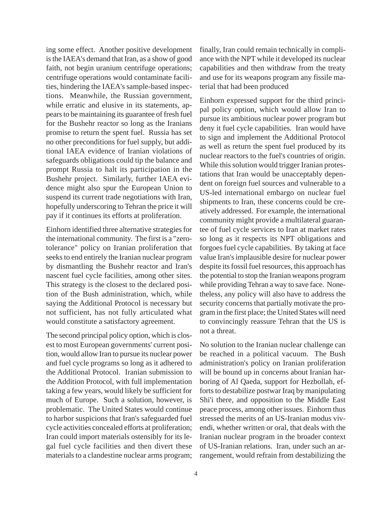ing some effect. Another positive development is the IAEA's demand that Iran, as a show of good faith, not begin uranium centrifuge operations; centrifuge operations would contaminate facilities, hindering the IAEA's sample-based inspections. Meanwhile, the Russian government, while erratic and elusive in its statements, appears to be maintaining its guarantee of fresh fuel for the Bushehr reactor so long as the Iranians promise to return the spent fuel. Russia has set no other preconditions for fuel supply, but additional IAEA evidence of Iranian violations of safeguards obligations could tip the balance and prompt Russia to halt its participation in the Bushehr project. Similarly, further IAEA evidence might also spur the European Union to suspend its current trade negotiations with Iran, hopefully underscoring to Tehran the price it will pay if it continues its efforts at proliferation.

Einhorn identified three alternative strategies for the international community. The first is a "zerotolerance" policy on Iranian proliferation that seeks to end entirely the Iranian nuclear program by dismantling the Bushehr reactor and Iran's nascent fuel cycle facilities, among other sites. This strategy is the closest to the declared position of the Bush administration, which, while saying the Additional Protocol is necessary but not sufficient, has not fully articulated what would constitute a satisfactory agreement.

The second principal policy option, which is closest to most European governments' current position, would allow Iran to pursue its nuclear power and fuel cycle programs so long as it adhered to the Additional Protocol. Iranian submission to the Addition Protocol, with full implementation taking a few years, would likely be sufficient for much of Europe. Such a solution, however, is problematic. The United States would continue to harbor suspicions that Iran's safeguarded fuel cycle activities concealed efforts at proliferation; Iran could import materials ostensibly for its legal fuel cycle facilities and then divert these materials to a clandestine nuclear arms program; finally, Iran could remain technically in compliance with the NPT while it developed its nuclear capabilities and then withdraw from the treaty and use for its weapons program any fissile material that had been produced

Einhorn expressed support for the third principal policy option, which would allow Iran to pursue its ambitious nuclear power program but deny it fuel cycle capabilities. Iran would have to sign and implement the Additional Protocol as well as return the spent fuel produced by its nuclear reactors to the fuel's countries of origin. While this solution would trigger Iranian protestations that Iran would be unacceptably dependent on foreign fuel sources and vulnerable to a US-led international embargo on nuclear fuel shipments to Iran, these concerns could be creatively addressed. For example, the international community might provide a multilateral guarantee of fuel cycle services to Iran at market rates so long as it respects its NPT obligations and forgoes fuel cycle capabilities. By taking at face value Iran's implausible desire for nuclear power despite its fossil fuel resources, this approach has the potential to stop the Iranian weapons program while providing Tehran a way to save face. Nonetheless, any policy will also have to address the security concerns that partially motivate the program in the first place; the United States will need to convincingly reassure Tehran that the US is not a threat.

No solution to the Iranian nuclear challenge can be reached in a political vacuum. The Bush administration's policy on Iranian proliferation will be bound up in concerns about Iranian harboring of Al Qaeda, support for Hezbollah, efforts to destabilize postwar Iraq by manipulating Shi'i there, and opposition to the Middle East peace process, among other issues. Einhorn thus stressed the merits of an US-Iranian modus vivendi, whether written or oral, that deals with the Iranian nuclear program in the broader context of US-Iranian relations. Iran, under such an arrangement, would refrain from destabilizing the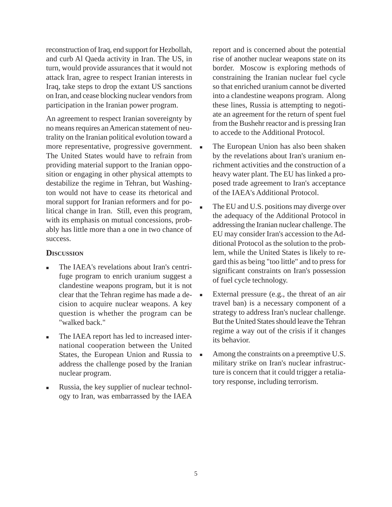reconstruction of Iraq, end support for Hezbollah, and curb Al Qaeda activity in Iran. The US, in turn, would provide assurances that it would not attack Iran, agree to respect Iranian interests in Iraq, take steps to drop the extant US sanctions on Iran, and cease blocking nuclear vendors from participation in the Iranian power program.

An agreement to respect Iranian sovereignty by no means requires an American statement of neutrality on the Iranian political evolution toward a more representative, progressive government. The United States would have to refrain from providing material support to the Iranian opposition or engaging in other physical attempts to destabilize the regime in Tehran, but Washington would not have to cease its rhetorical and moral support for Iranian reformers and for political change in Iran. Still, even this program, with its emphasis on mutual concessions, probably has little more than a one in two chance of success.

#### **DISCUSSION**

- The IAEA's revelations about Iran's centrifuge program to enrich uranium suggest a clandestine weapons program, but it is not clear that the Tehran regime has made a decision to acquire nuclear weapons. A key question is whether the program can be "walked back."
- The IAEA report has led to increased international cooperation between the United States, the European Union and Russia to address the challenge posed by the Iranian nuclear program.
- Russia, the key supplier of nuclear technology to Iran, was embarrassed by the IAEA

report and is concerned about the potential rise of another nuclear weapons state on its border. Moscow is exploring methods of constraining the Iranian nuclear fuel cycle so that enriched uranium cannot be diverted into a clandestine weapons program. Along these lines, Russia is attempting to negotiate an agreement for the return of spent fuel from the Bushehr reactor and is pressing Iran to accede to the Additional Protocol.

- The European Union has also been shaken by the revelations about Iran's uranium enrichment activities and the construction of a heavy water plant. The EU has linked a proposed trade agreement to Iran's acceptance of the IAEA's Additional Protocol.
- The EU and U.S. positions may diverge over the adequacy of the Additional Protocol in addressing the Iranian nuclear challenge. The EU may consider Iran's accession to the Additional Protocol as the solution to the problem, while the United States is likely to regard this as being "too little" and to press for significant constraints on Iran's possession of fuel cycle technology.
- External pressure (e.g., the threat of an air travel ban) is a necessary component of a strategy to address Iran's nuclear challenge. But the United States should leave the Tehran regime a way out of the crisis if it changes its behavior.
- Among the constraints on a preemptive U.S. military strike on Iran's nuclear infrastructure is concern that it could trigger a retaliatory response, including terrorism.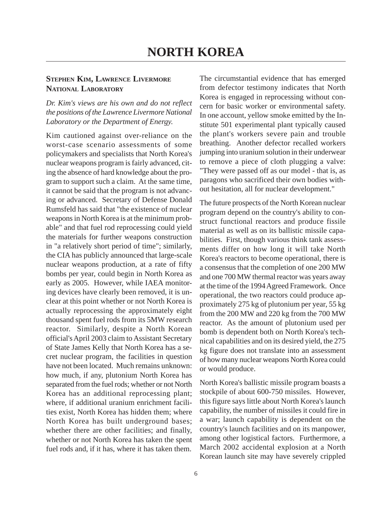# **STEPHEN KIM, LAWRENCE LIVERMORE NATIONAL LABORATORY**

*Dr. Kim's views are his own and do not reflect the positions of the Lawrence Livermore National Laboratory or the Department of Energy.*

Kim cautioned against over-reliance on the worst-case scenario assessments of some policymakers and specialists that North Korea's nuclear weapons program is fairly advanced, citing the absence of hard knowledge about the program to support such a claim. At the same time, it cannot be said that the program is not advancing or advanced. Secretary of Defense Donald Rumsfeld has said that "the existence of nuclear weapons in North Korea is at the minimum probable" and that fuel rod reprocessing could yield the materials for further weapons construction in "a relatively short period of time"; similarly, the CIA has publicly announced that large-scale nuclear weapons production, at a rate of fifty bombs per year, could begin in North Korea as early as 2005. However, while IAEA monitoring devices have clearly been removed, it is unclear at this point whether or not North Korea is actually reprocessing the approximately eight thousand spent fuel rods from its 5MW research reactor. Similarly, despite a North Korean official's April 2003 claim to Assistant Secretary of State James Kelly that North Korea has a secret nuclear program, the facilities in question have not been located. Much remains unknown: how much, if any, plutonium North Korea has separated from the fuel rods; whether or not North Korea has an additional reprocessing plant; where, if additional uranium enrichment facilities exist, North Korea has hidden them; where North Korea has built underground bases; whether there are other facilities; and finally, whether or not North Korea has taken the spent fuel rods and, if it has, where it has taken them.

The circumstantial evidence that has emerged from defector testimony indicates that North Korea is engaged in reprocessing without concern for basic worker or environmental safety. In one account, yellow smoke emitted by the Institute 501 experimental plant typically caused the plant's workers severe pain and trouble breathing. Another defector recalled workers jumping into uranium solution in their underwear to remove a piece of cloth plugging a valve: "They were passed off as our model - that is, as paragons who sacrificed their own bodies without hesitation, all for nuclear development."

The future prospects of the North Korean nuclear program depend on the country's ability to construct functional reactors and produce fissile material as well as on its ballistic missile capabilities. First, though various think tank assessments differ on how long it will take North Korea's reactors to become operational, there is a consensus that the completion of one 200 MW and one 700 MW thermal reactor was years away at the time of the 1994 Agreed Framework. Once operational, the two reactors could produce approximately 275 kg of plutonium per year, 55 kg from the 200 MW and 220 kg from the 700 MW reactor. As the amount of plutonium used per bomb is dependent both on North Korea's technical capabilities and on its desired yield, the 275 kg figure does not translate into an assessment of how many nuclear weapons North Korea could or would produce.

North Korea's ballistic missile program boasts a stockpile of about 600-750 missiles. However, this figure says little about North Korea's launch capability, the number of missiles it could fire in a war; launch capability is dependent on the country's launch facilities and on its manpower, among other logistical factors. Furthermore, a March 2002 accidental explosion at a North Korean launch site may have severely crippled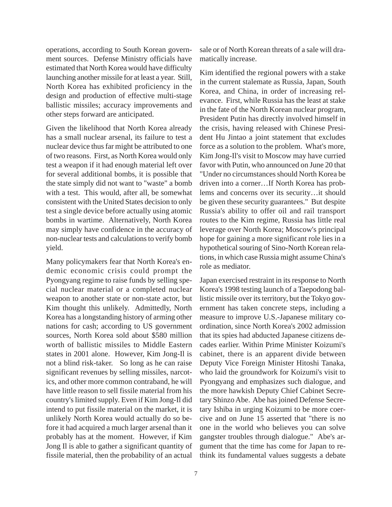operations, according to South Korean government sources. Defense Ministry officials have estimated that North Korea would have difficulty launching another missile for at least a year. Still, North Korea has exhibited proficiency in the design and production of effective multi-stage ballistic missiles; accuracy improvements and other steps forward are anticipated.

Given the likelihood that North Korea already has a small nuclear arsenal, its failure to test a nuclear device thus far might be attributed to one of two reasons. First, as North Korea would only test a weapon if it had enough material left over for several additional bombs, it is possible that the state simply did not want to "waste" a bomb with a test. This would, after all, be somewhat consistent with the United States decision to only test a single device before actually using atomic bombs in wartime. Alternatively, North Korea may simply have confidence in the accuracy of non-nuclear tests and calculations to verify bomb yield.

Many policymakers fear that North Korea's endemic economic crisis could prompt the Pyongyang regime to raise funds by selling special nuclear material or a completed nuclear weapon to another state or non-state actor, but Kim thought this unlikely. Admittedly, North Korea has a longstanding history of arming other nations for cash; according to US government sources, North Korea sold about \$580 million worth of ballistic missiles to Middle Eastern states in 2001 alone. However, Kim Jong-Il is not a blind risk-taker. So long as he can raise significant revenues by selling missiles, narcotics, and other more common contraband, he will have little reason to sell fissile material from his country's limited supply. Even if Kim Jong-Il did intend to put fissile material on the market, it is unlikely North Korea would actually do so before it had acquired a much larger arsenal than it probably has at the moment. However, if Kim Jong Il is able to gather a significant quantity of fissile material, then the probability of an actual

sale or of North Korean threats of a sale will dramatically increase.

Kim identified the regional powers with a stake in the current stalemate as Russia, Japan, South Korea, and China, in order of increasing relevance. First, while Russia has the least at stake in the fate of the North Korean nuclear program, President Putin has directly involved himself in the crisis, having released with Chinese President Hu Jintao a joint statement that excludes force as a solution to the problem. What's more, Kim Jong-Il's visit to Moscow may have curried favor with Putin, who announced on June 20 that "Under no circumstances should North Korea be driven into a corner…If North Korea has problems and concerns over its security…it should be given these security guarantees." But despite Russia's ability to offer oil and rail transport routes to the Kim regime, Russia has little real leverage over North Korea; Moscow's principal hope for gaining a more significant role lies in a hypothetical souring of Sino-North Korean relations, in which case Russia might assume China's role as mediator.

Japan exercised restraint in its response to North Korea's 1998 testing launch of a Taepodong ballistic missile over its territory, but the Tokyo government has taken concrete steps, including a measure to improve U.S.-Japanese military coordination, since North Korea's 2002 admission that its spies had abducted Japanese citizens decades earlier. Within Prime Minister Koizumi's cabinet, there is an apparent divide between Deputy Vice Foreign Minister Hitoshi Tanaka, who laid the groundwork for Koizumi's visit to Pyongyang and emphasizes such dialogue, and the more hawkish Deputy Chief Cabinet Secretary Shinzo Abe. Abe has joined Defense Secretary Ishiba in urging Koizumi to be more coercive and on June 15 asserted that "there is no one in the world who believes you can solve gangster troubles through dialogue." Abe's argument that the time has come for Japan to rethink its fundamental values suggests a debate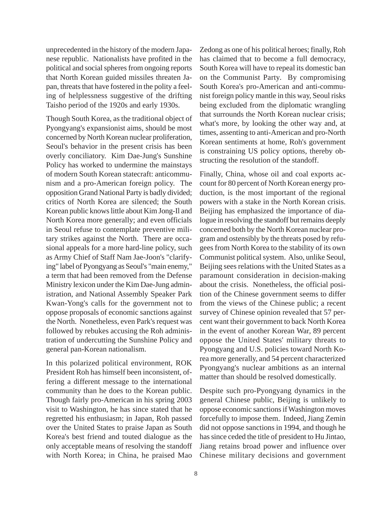unprecedented in the history of the modern Japanese republic. Nationalists have profited in the political and social spheres from ongoing reports that North Korean guided missiles threaten Japan, threats that have fostered in the polity a feeling of helplessness suggestive of the drifting Taisho period of the 1920s and early 1930s.

Though South Korea, as the traditional object of Pyongyang's expansionist aims, should be most concerned by North Korean nuclear proliferation, Seoul's behavior in the present crisis has been overly conciliatory. Kim Dae-Jung's Sunshine Policy has worked to undermine the mainstays of modern South Korean statecraft: anticommunism and a pro-American foreign policy. The opposition Grand National Party is badly divided; critics of North Korea are silenced; the South Korean public knows little about Kim Jong-Il and North Korea more generally; and even officials in Seoul refuse to contemplate preventive military strikes against the North. There are occasional appeals for a more hard-line policy, such as Army Chief of Staff Nam Jae-Joon's "clarifying" label of Pyongyang as Seoul's "main enemy," a term that had been removed from the Defense Ministry lexicon under the Kim Dae-Jung administration, and National Assembly Speaker Park Kwan-Yong's calls for the government not to oppose proposals of economic sanctions against the North. Nonetheless, even Park's request was followed by rebukes accusing the Roh administration of undercutting the Sunshine Policy and general pan-Korean nationalism.

In this polarized political environment, ROK President Roh has himself been inconsistent, offering a different message to the international community than he does to the Korean public. Though fairly pro-American in his spring 2003 visit to Washington, he has since stated that he regretted his enthusiasm; in Japan, Roh passed over the United States to praise Japan as South Korea's best friend and touted dialogue as the only acceptable means of resolving the standoff with North Korea; in China, he praised Mao Zedong as one of his political heroes; finally, Roh has claimed that to become a full democracy, South Korea will have to repeal its domestic ban on the Communist Party. By compromising South Korea's pro-American and anti-communist foreign policy mantle in this way, Seoul risks being excluded from the diplomatic wrangling that surrounds the North Korean nuclear crisis; what's more, by looking the other way and, at times, assenting to anti-American and pro-North Korean sentiments at home, Roh's government is constraining US policy options, thereby obstructing the resolution of the standoff.

Finally, China, whose oil and coal exports account for 80 percent of North Korean energy production, is the most important of the regional powers with a stake in the North Korean crisis. Beijing has emphasized the importance of dialogue in resolving the standoff but remains deeply concerned both by the North Korean nuclear program and ostensibly by the threats posed by refugees from North Korea to the stability of its own Communist political system. Also, unlike Seoul, Beijing sees relations with the United States as a paramount consideration in decision-making about the crisis. Nonetheless, the official position of the Chinese government seems to differ from the views of the Chinese public; a recent survey of Chinese opinion revealed that 57 percent want their government to back North Korea in the event of another Korean War, 89 percent oppose the United States' military threats to Pyongyang and U.S. policies toward North Korea more generally, and 54 percent characterized Pyongyang's nuclear ambitions as an internal matter than should be resolved domestically.

Despite such pro-Pyongyang dynamics in the general Chinese public, Beijing is unlikely to oppose economic sanctions if Washington moves forcefully to impose them. Indeed, Jiang Zemin did not oppose sanctions in 1994, and though he has since ceded the title of president to Hu Jintao, Jiang retains broad power and influence over Chinese military decisions and government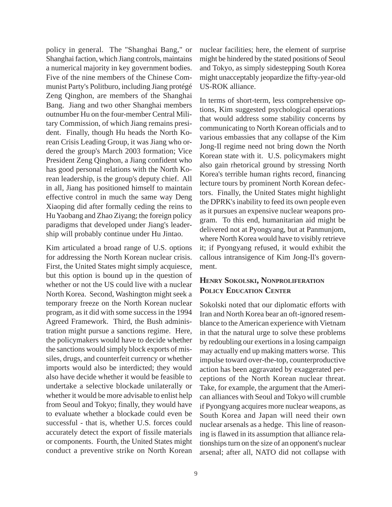policy in general. The "Shanghai Bang," or Shanghai faction, which Jiang controls, maintains a numerical majority in key government bodies. Five of the nine members of the Chinese Communist Party's Politburo, including Jiang protégé Zeng Qinghon, are members of the Shanghai Bang. Jiang and two other Shanghai members outnumber Hu on the four-member Central Military Commission, of which Jiang remains president. Finally, though Hu heads the North Korean Crisis Leading Group, it was Jiang who ordered the group's March 2003 formation; Vice President Zeng Qinghon, a Jiang confident who has good personal relations with the North Korean leadership, is the group's deputy chief. All in all, Jiang has positioned himself to maintain effective control in much the same way Deng Xiaoping did after formally ceding the reins to Hu Yaobang and Zhao Ziyang; the foreign policy paradigms that developed under Jiang's leadership will probably continue under Hu Jintao.

Kim articulated a broad range of U.S. options for addressing the North Korean nuclear crisis. First, the United States might simply acquiesce, but this option is bound up in the question of whether or not the US could live with a nuclear North Korea. Second, Washington might seek a temporary freeze on the North Korean nuclear program, as it did with some success in the 1994 Agreed Framework. Third, the Bush administration might pursue a sanctions regime. Here, the policymakers would have to decide whether the sanctions would simply block exports of missiles, drugs, and counterfeit currency or whether imports would also be interdicted; they would also have decide whether it would be feasible to undertake a selective blockade unilaterally or whether it would be more advisable to enlist help from Seoul and Tokyo; finally, they would have to evaluate whether a blockade could even be successful - that is, whether U.S. forces could accurately detect the export of fissile materials or components. Fourth, the United States might conduct a preventive strike on North Korean

nuclear facilities; here, the element of surprise might be hindered by the stated positions of Seoul and Tokyo, as simply sidestepping South Korea might unacceptably jeopardize the fifty-year-old US-ROK alliance.

In terms of short-term, less comprehensive options, Kim suggested psychological operations that would address some stability concerns by communicating to North Korean officials and to various embassies that any collapse of the Kim Jong-Il regime need not bring down the North Korean state with it. U.S. policymakers might also gain rhetorical ground by stressing North Korea's terrible human rights record, financing lecture tours by prominent North Korean defectors. Finally, the United States might highlight the DPRK's inability to feed its own people even as it pursues an expensive nuclear weapons program. To this end, humanitarian aid might be delivered not at Pyongyang, but at Panmunjom, where North Korea would have to visibly retrieve it; if Pyongyang refused, it would exhibit the callous intransigence of Kim Jong-Il's government.

## **HENRY SOKOLSKI, NONPROLIFERATION POLICY EDUCATION CENTER**

Sokolski noted that our diplomatic efforts with Iran and North Korea bear an oft-ignored resemblance to the American experience with Vietnam in that the natural urge to solve these problems by redoubling our exertions in a losing campaign may actually end up making matters worse. This impulse toward over-the-top, counterproductive action has been aggravated by exaggerated perceptions of the North Korean nuclear threat. Take, for example, the argument that the American alliances with Seoul and Tokyo will crumble if Pyongyang acquires more nuclear weapons, as South Korea and Japan will need their own nuclear arsenals as a hedge. This line of reasoning is flawed in its assumption that alliance relationships turn on the size of an opponent's nuclear arsenal; after all, NATO did not collapse with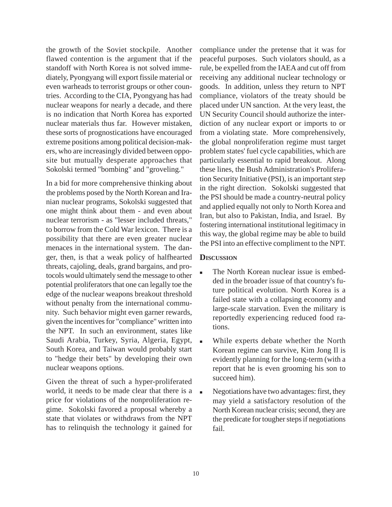the growth of the Soviet stockpile. Another flawed contention is the argument that if the standoff with North Korea is not solved immediately, Pyongyang will export fissile material or even warheads to terrorist groups or other countries. According to the CIA, Pyongyang has had nuclear weapons for nearly a decade, and there is no indication that North Korea has exported nuclear materials thus far. However mistaken, these sorts of prognostications have encouraged extreme positions among political decision-makers, who are increasingly divided between opposite but mutually desperate approaches that Sokolski termed "bombing" and "groveling."

In a bid for more comprehensive thinking about the problems posed by the North Korean and Iranian nuclear programs, Sokolski suggested that one might think about them - and even about nuclear terrorism - as "lesser included threats," to borrow from the Cold War lexicon. There is a possibility that there are even greater nuclear menaces in the international system. The danger, then, is that a weak policy of halfhearted threats, cajoling, deals, grand bargains, and protocols would ultimately send the message to other potential proliferators that one can legally toe the edge of the nuclear weapons breakout threshold without penalty from the international community. Such behavior might even garner rewards, given the incentives for "compliance" written into the NPT. In such an environment, states like Saudi Arabia, Turkey, Syria, Algeria, Egypt, South Korea, and Taiwan would probably start to "hedge their bets" by developing their own nuclear weapons options.

Given the threat of such a hyper-proliferated world, it needs to be made clear that there is a price for violations of the nonproliferation regime. Sokolski favored a proposal whereby a state that violates or withdraws from the NPT has to relinquish the technology it gained for

compliance under the pretense that it was for peaceful purposes. Such violators should, as a rule, be expelled from the IAEA and cut off from receiving any additional nuclear technology or goods. In addition, unless they return to NPT compliance, violators of the treaty should be placed under UN sanction. At the very least, the UN Security Council should authorize the interdiction of any nuclear export or imports to or from a violating state. More comprehensively, the global nonproliferation regime must target problem states' fuel cycle capabilities, which are particularly essential to rapid breakout. Along these lines, the Bush Administration's Proliferation Security Initiative (PSI), is an important step in the right direction. Sokolski suggested that the PSI should be made a country-neutral policy and applied equally not only to North Korea and Iran, but also to Pakistan, India, and Israel. By fostering international institutional legitimacy in this way, the global regime may be able to build the PSI into an effective compliment to the NPT.

#### **DISCUSSION**

- The North Korean nuclear issue is embedded in the broader issue of that country's future political evolution. North Korea is a failed state with a collapsing economy and large-scale starvation. Even the military is reportedly experiencing reduced food rations.
- While experts debate whether the North Korean regime can survive, Kim Jong Il is evidently planning for the long-term (with a report that he is even grooming his son to succeed him).
- Negotiations have two advantages: first, they may yield a satisfactory resolution of the North Korean nuclear crisis; second, they are the predicate for tougher steps if negotiations fail.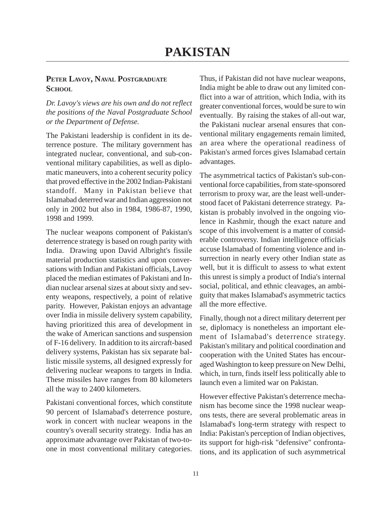## **PETER LAVOY, NAVAL POSTGRADUATE SCHOOL**

*Dr. Lavoy's views are his own and do not reflect the positions of the Naval Postgraduate School or the Department of Defense.*

The Pakistani leadership is confident in its deterrence posture. The military government has integrated nuclear, conventional, and sub-conventional military capabilities, as well as diplomatic maneuvers, into a coherent security policy that proved effective in the 2002 Indian-Pakistani standoff. Many in Pakistan believe that Islamabad deterred war and Indian aggression not only in 2002 but also in 1984, 1986-87, 1990, 1998 and 1999.

The nuclear weapons component of Pakistan's deterrence strategy is based on rough parity with India. Drawing upon David Albright's fissile material production statistics and upon conversations with Indian and Pakistani officials, Lavoy placed the median estimates of Pakistani and Indian nuclear arsenal sizes at about sixty and seventy weapons, respectively, a point of relative parity. However, Pakistan enjoys an advantage over India in missile delivery system capability, having prioritized this area of development in the wake of American sanctions and suspension of F-16 delivery. In addition to its aircraft-based delivery systems, Pakistan has six separate ballistic missile systems, all designed expressly for delivering nuclear weapons to targets in India. These missiles have ranges from 80 kilometers all the way to 2400 kilometers.

Pakistani conventional forces, which constitute 90 percent of Islamabad's deterrence posture, work in concert with nuclear weapons in the country's overall security strategy. India has an approximate advantage over Pakistan of two-toone in most conventional military categories.

Thus, if Pakistan did not have nuclear weapons, India might be able to draw out any limited conflict into a war of attrition, which India, with its greater conventional forces, would be sure to win eventually. By raising the stakes of all-out war, the Pakistani nuclear arsenal ensures that conventional military engagements remain limited, an area where the operational readiness of Pakistan's armed forces gives Islamabad certain advantages.

The asymmetrical tactics of Pakistan's sub-conventional force capabilities, from state-sponsored terrorism to proxy war, are the least well-understood facet of Pakistani deterrence strategy. Pakistan is probably involved in the ongoing violence in Kashmir, though the exact nature and scope of this involvement is a matter of considerable controversy. Indian intelligence officials accuse Islamabad of fomenting violence and insurrection in nearly every other Indian state as well, but it is difficult to assess to what extent this unrest is simply a product of India's internal social, political, and ethnic cleavages, an ambiguity that makes Islamabad's asymmetric tactics all the more effective.

Finally, though not a direct military deterrent per se, diplomacy is nonetheless an important element of Islamabad's deterrence strategy. Pakistan's military and political coordination and cooperation with the United States has encouraged Washington to keep pressure on New Delhi, which, in turn, finds itself less politically able to launch even a limited war on Pakistan.

However effective Pakistan's deterrence mechanism has become since the 1998 nuclear weapons tests, there are several problematic areas in Islamabad's long-term strategy with respect to India: Pakistan's perception of Indian objectives, its support for high-risk "defensive" confrontations, and its application of such asymmetrical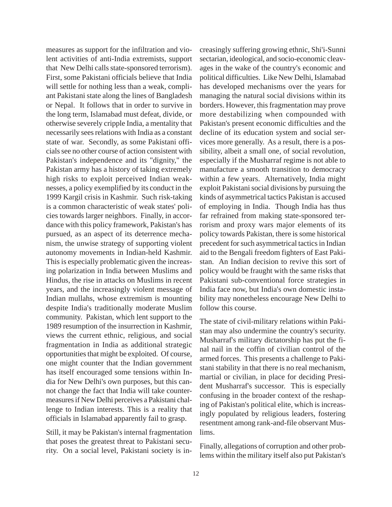measures as support for the infiltration and violent activities of anti-India extremists, support that New Delhi calls state-sponsored terrorism). First, some Pakistani officials believe that India will settle for nothing less than a weak, compliant Pakistani state along the lines of Bangladesh or Nepal. It follows that in order to survive in the long term, Islamabad must defeat, divide, or otherwise severely cripple India, a mentality that necessarily sees relations with India as a constant state of war. Secondly, as some Pakistani officials see no other course of action consistent with Pakistan's independence and its "dignity," the Pakistan army has a history of taking extremely high risks to exploit perceived Indian weaknesses, a policy exemplified by its conduct in the 1999 Kargil crisis in Kashmir. Such risk-taking is a common characteristic of weak states' policies towards larger neighbors. Finally, in accordance with this policy framework, Pakistan's has pursued, as an aspect of its deterrence mechanism, the unwise strategy of supporting violent autonomy movements in Indian-held Kashmir. This is especially problematic given the increasing polarization in India between Muslims and Hindus, the rise in attacks on Muslims in recent years, and the increasingly violent message of Indian mullahs, whose extremism is mounting despite India's traditionally moderate Muslim community. Pakistan, which lent support to the 1989 resumption of the insurrection in Kashmir, views the current ethnic, religious, and social fragmentation in India as additional strategic opportunities that might be exploited. Of course, one might counter that the Indian government has itself encouraged some tensions within India for New Delhi's own purposes, but this cannot change the fact that India will take countermeasures if New Delhi perceives a Pakistani challenge to Indian interests. This is a reality that officials in Islamabad apparently fail to grasp.

Still, it may be Pakistan's internal fragmentation that poses the greatest threat to Pakistani security. On a social level, Pakistani society is increasingly suffering growing ethnic, Shi'i-Sunni sectarian, ideological, and socio-economic cleavages in the wake of the country's economic and political difficulties. Like New Delhi, Islamabad has developed mechanisms over the years for managing the natural social divisions within its borders. However, this fragmentation may prove more destabilizing when compounded with Pakistan's present economic difficulties and the decline of its education system and social services more generally. As a result, there is a possibility, albeit a small one, of social revolution, especially if the Musharraf regime is not able to manufacture a smooth transition to democracy within a few years. Alternatively, India might exploit Pakistani social divisions by pursuing the kinds of asymmetrical tactics Pakistan is accused of employing in India. Though India has thus far refrained from making state-sponsored terrorism and proxy wars major elements of its policy towards Pakistan, there is some historical precedent for such asymmetrical tactics in Indian aid to the Bengali freedom fighters of East Pakistan. An Indian decision to revive this sort of policy would be fraught with the same risks that Pakistani sub-conventional force strategies in India face now, but India's own domestic instability may nonetheless encourage New Delhi to follow this course.

The state of civil-military relations within Pakistan may also undermine the country's security. Musharraf's military dictatorship has put the final nail in the coffin of civilian control of the armed forces. This presents a challenge to Pakistani stability in that there is no real mechanism, martial or civilian, in place for deciding President Musharraf's successor. This is especially confusing in the broader context of the reshaping of Pakistan's political elite, which is increasingly populated by religious leaders, fostering resentment among rank-and-file observant Muslims.

Finally, allegations of corruption and other problems within the military itself also put Pakistan's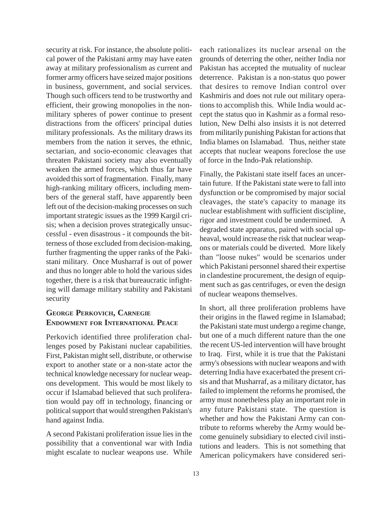security at risk. For instance, the absolute political power of the Pakistani army may have eaten away at military professionalism as current and former army officers have seized major positions in business, government, and social services. Though such officers tend to be trustworthy and efficient, their growing monopolies in the nonmilitary spheres of power continue to present distractions from the officers' principal duties military professionals. As the military draws its members from the nation it serves, the ethnic, sectarian, and socio-economic cleavages that threaten Pakistani society may also eventually weaken the armed forces, which thus far have avoided this sort of fragmentation. Finally, many high-ranking military officers, including members of the general staff, have apparently been left out of the decision-making processes on such important strategic issues as the 1999 Kargil crisis; when a decision proves strategically unsuccessful - even disastrous - it compounds the bitterness of those excluded from decision-making, further fragmenting the upper ranks of the Pakistani military. Once Musharraf is out of power and thus no longer able to hold the various sides together, there is a risk that bureaucratic infighting will damage military stability and Pakistani security

## **GEORGE PERKOVICH, CARNEGIE ENDOWMENT FOR INTERNATIONAL PEACE**

Perkovich identified three proliferation challenges posed by Pakistani nuclear capabilities. First, Pakistan might sell, distribute, or otherwise export to another state or a non-state actor the technical knowledge necessary for nuclear weapons development. This would be most likely to occur if Islamabad believed that such proliferation would pay off in technology, financing or political support that would strengthen Pakistan's hand against India.

A second Pakistani proliferation issue lies in the possibility that a conventional war with India might escalate to nuclear weapons use. While each rationalizes its nuclear arsenal on the grounds of deterring the other, neither India nor Pakistan has accepted the mutuality of nuclear deterrence. Pakistan is a non-status quo power that desires to remove Indian control over Kashmiris and does not rule out military operations to accomplish this. While India would accept the status quo in Kashmir as a formal resolution, New Delhi also insists it is not deterred from militarily punishing Pakistan for actions that India blames on Islamabad. Thus, neither state accepts that nuclear weapons foreclose the use of force in the Indo-Pak relationship.

Finally, the Pakistani state itself faces an uncertain future. If the Pakistani state were to fall into dysfunction or be compromised by major social cleavages, the state's capacity to manage its nuclear establishment with sufficient discipline, rigor and investment could be undermined. A degraded state apparatus, paired with social upheaval, would increase the risk that nuclear weapons or materials could be diverted. More likely than "loose nukes" would be scenarios under which Pakistani personnel shared their expertise in clandestine procurement, the design of equipment such as gas centrifuges, or even the design of nuclear weapons themselves.

In short, all three proliferation problems have their origins in the flawed regime in Islamabad; the Pakistani state must undergo a regime change, but one of a much different nature than the one the recent US-led intervention will have brought to Iraq. First, while it is true that the Pakistani army's obsessions with nuclear weapons and with deterring India have exacerbated the present crisis and that Musharraf, as a military dictator, has failed to implement the reforms he promised, the army must nonetheless play an important role in any future Pakistani state. The question is whether and how the Pakistani Army can contribute to reforms whereby the Army would become genuinely subsidiary to elected civil institutions and leaders. This is not something that American policymakers have considered seri-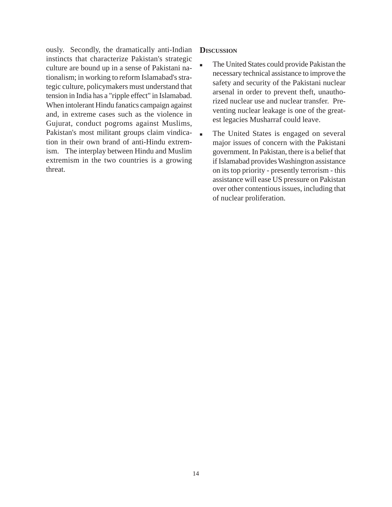ously. Secondly, the dramatically anti-Indian instincts that characterize Pakistan's strategic culture are bound up in a sense of Pakistani nationalism; in working to reform Islamabad's strategic culture, policymakers must understand that tension in India has a "ripple effect" in Islamabad. When intolerant Hindu fanatics campaign against and, in extreme cases such as the violence in Gujurat, conduct pogroms against Muslims, Pakistan's most militant groups claim vindication in their own brand of anti-Hindu extremism. The interplay between Hindu and Muslim extremism in the two countries is a growing threat.

#### **DISCUSSION**

- The United States could provide Pakistan the necessary technical assistance to improve the safety and security of the Pakistani nuclear arsenal in order to prevent theft, unauthorized nuclear use and nuclear transfer. Preventing nuclear leakage is one of the greatest legacies Musharraf could leave.
- The United States is engaged on several major issues of concern with the Pakistani government. In Pakistan, there is a belief that if Islamabad provides Washington assistance on its top priority - presently terrorism - this assistance will ease US pressure on Pakistan over other contentious issues, including that of nuclear proliferation.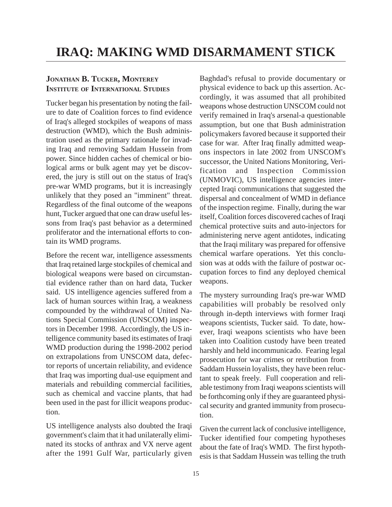# **JONATHAN B. TUCKER, MONTEREY INSTITUTE OF INTERNATIONAL STUDIES**

Tucker began his presentation by noting the failure to date of Coalition forces to find evidence of Iraq's alleged stockpiles of weapons of mass destruction (WMD), which the Bush administration used as the primary rationale for invading Iraq and removing Saddam Hussein from power. Since hidden caches of chemical or biological arms or bulk agent may yet be discovered, the jury is still out on the status of Iraq's pre-war WMD programs, but it is increasingly unlikely that they posed an "imminent" threat. Regardless of the final outcome of the weapons hunt, Tucker argued that one can draw useful lessons from Iraq's past behavior as a determined proliferator and the international efforts to contain its WMD programs.

Before the recent war, intelligence assessments that Iraq retained large stockpiles of chemical and biological weapons were based on circumstantial evidence rather than on hard data, Tucker said. US intelligence agencies suffered from a lack of human sources within Iraq, a weakness compounded by the withdrawal of United Nations Special Commission (UNSCOM) inspectors in December 1998. Accordingly, the US intelligence community based its estimates of Iraqi WMD production during the 1998-2002 period on extrapolations from UNSCOM data, defector reports of uncertain reliability, and evidence that Iraq was importing dual-use equipment and materials and rebuilding commercial facilities, such as chemical and vaccine plants, that had been used in the past for illicit weapons production.

US intelligence analysts also doubted the Iraqi government's claim that it had unilaterally eliminated its stocks of anthrax and VX nerve agent after the 1991 Gulf War, particularly given

Baghdad's refusal to provide documentary or physical evidence to back up this assertion. Accordingly, it was assumed that all prohibited weapons whose destruction UNSCOM could not verify remained in Iraq's arsenal-a questionable assumption, but one that Bush administration policymakers favored because it supported their case for war. After Iraq finally admitted weapons inspectors in late 2002 from UNSCOM's successor, the United Nations Monitoring, Verification and Inspection Commission (UNMOVIC), US intelligence agencies intercepted Iraqi communications that suggested the dispersal and concealment of WMD in defiance of the inspection regime. Finally, during the war itself, Coalition forces discovered caches of Iraqi chemical protective suits and auto-injectors for administering nerve agent antidotes, indicating that the Iraqi military was prepared for offensive chemical warfare operations. Yet this conclusion was at odds with the failure of postwar occupation forces to find any deployed chemical weapons.

The mystery surrounding Iraq's pre-war WMD capabilities will probably be resolved only through in-depth interviews with former Iraqi weapons scientists, Tucker said. To date, however, Iraqi weapons scientists who have been taken into Coalition custody have been treated harshly and held incommunicado. Fearing legal prosecution for war crimes or retribution from Saddam Hussein loyalists, they have been reluctant to speak freely. Full cooperation and reliable testimony from Iraqi weapons scientists will be forthcoming only if they are guaranteed physical security and granted immunity from prosecution.

Given the current lack of conclusive intelligence, Tucker identified four competing hypotheses about the fate of Iraq's WMD. The first hypothesis is that Saddam Hussein was telling the truth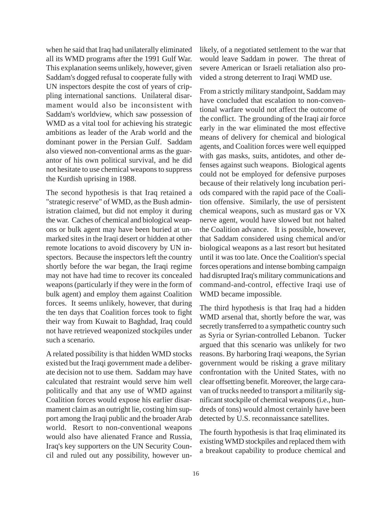when he said that Iraq had unilaterally eliminated all its WMD programs after the 1991 Gulf War. This explanation seems unlikely, however, given Saddam's dogged refusal to cooperate fully with UN inspectors despite the cost of years of crippling international sanctions. Unilateral disarmament would also be inconsistent with Saddam's worldview, which saw possession of WMD as a vital tool for achieving his strategic ambitions as leader of the Arab world and the dominant power in the Persian Gulf. Saddam also viewed non-conventional arms as the guarantor of his own political survival, and he did not hesitate to use chemical weapons to suppress the Kurdish uprising in 1988.

The second hypothesis is that Iraq retained a "strategic reserve" of WMD, as the Bush administration claimed, but did not employ it during the war. Caches of chemical and biological weapons or bulk agent may have been buried at unmarked sites in the Iraqi desert or hidden at other remote locations to avoid discovery by UN inspectors. Because the inspectors left the country shortly before the war began, the Iraqi regime may not have had time to recover its concealed weapons (particularly if they were in the form of bulk agent) and employ them against Coalition forces. It seems unlikely, however, that during the ten days that Coalition forces took to fight their way from Kuwait to Baghdad, Iraq could not have retrieved weaponized stockpiles under such a scenario.

A related possibility is that hidden WMD stocks existed but the Iraqi government made a deliberate decision not to use them. Saddam may have calculated that restraint would serve him well politically and that any use of WMD against Coalition forces would expose his earlier disarmament claim as an outright lie, costing him support among the Iraqi public and the broader Arab world. Resort to non-conventional weapons would also have alienated France and Russia, Iraq's key supporters on the UN Security Council and ruled out any possibility, however unlikely, of a negotiated settlement to the war that would leave Saddam in power. The threat of severe American or Israeli retaliation also provided a strong deterrent to Iraqi WMD use.

From a strictly military standpoint, Saddam may have concluded that escalation to non-conventional warfare would not affect the outcome of the conflict. The grounding of the Iraqi air force early in the war eliminated the most effective means of delivery for chemical and biological agents, and Coalition forces were well equipped with gas masks, suits, antidotes, and other defenses against such weapons. Biological agents could not be employed for defensive purposes because of their relatively long incubation periods compared with the rapid pace of the Coalition offensive. Similarly, the use of persistent chemical weapons, such as mustard gas or VX nerve agent, would have slowed but not halted the Coalition advance. It is possible, however, that Saddam considered using chemical and/or biological weapons as a last resort but hesitated until it was too late. Once the Coalition's special forces operations and intense bombing campaign had disrupted Iraq's military communications and command-and-control, effective Iraqi use of WMD became impossible.

The third hypothesis is that Iraq had a hidden WMD arsenal that, shortly before the war, was secretly transferred to a sympathetic country such as Syria or Syrian-controlled Lebanon. Tucker argued that this scenario was unlikely for two reasons. By harboring Iraqi weapons, the Syrian government would be risking a grave military confrontation with the United States, with no clear offsetting benefit. Moreover, the large caravan of trucks needed to transport a militarily significant stockpile of chemical weapons (i.e., hundreds of tons) would almost certainly have been detected by U.S. reconnaissance satellites.

The fourth hypothesis is that Iraq eliminated its existing WMD stockpiles and replaced them with a breakout capability to produce chemical and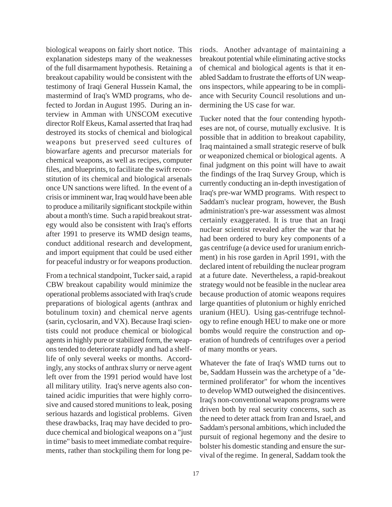biological weapons on fairly short notice. This explanation sidesteps many of the weaknesses of the full disarmament hypothesis. Retaining a breakout capability would be consistent with the testimony of Iraqi General Hussein Kamal, the mastermind of Iraq's WMD programs, who defected to Jordan in August 1995. During an interview in Amman with UNSCOM executive director Rolf Ekeus, Kamal asserted that Iraq had destroyed its stocks of chemical and biological weapons but preserved seed cultures of biowarfare agents and precursor materials for chemical weapons, as well as recipes, computer files, and blueprints, to facilitate the swift reconstitution of its chemical and biological arsenals once UN sanctions were lifted. In the event of a crisis or imminent war, Iraq would have been able to produce a militarily significant stockpile within about a month's time. Such a rapid breakout strategy would also be consistent with Iraq's efforts after 1991 to preserve its WMD design teams, conduct additional research and development, and import equipment that could be used either for peaceful industry or for weapons production.

From a technical standpoint, Tucker said, a rapid CBW breakout capability would minimize the operational problems associated with Iraq's crude preparations of biological agents (anthrax and botulinum toxin) and chemical nerve agents (sarin, cyclosarin, and VX). Because Iraqi scientists could not produce chemical or biological agents in highly pure or stabilized form, the weapons tended to deteriorate rapidly and had a shelflife of only several weeks or months. Accordingly, any stocks of anthrax slurry or nerve agent left over from the 1991 period would have lost all military utility. Iraq's nerve agents also contained acidic impurities that were highly corrosive and caused stored munitions to leak, posing serious hazards and logistical problems. Given these drawbacks, Iraq may have decided to produce chemical and biological weapons on a "just in time" basis to meet immediate combat requirements, rather than stockpiling them for long periods. Another advantage of maintaining a breakout potential while eliminating active stocks of chemical and biological agents is that it enabled Saddam to frustrate the efforts of UN weapons inspectors, while appearing to be in compliance with Security Council resolutions and undermining the US case for war.

Tucker noted that the four contending hypotheses are not, of course, mutually exclusive. It is possible that in addition to breakout capability, Iraq maintained a small strategic reserve of bulk or weaponized chemical or biological agents. A final judgment on this point will have to await the findings of the Iraq Survey Group, which is currently conducting an in-depth investigation of Iraq's pre-war WMD programs. With respect to Saddam's nuclear program, however, the Bush administration's pre-war assessment was almost certainly exaggerated. It is true that an Iraqi nuclear scientist revealed after the war that he had been ordered to bury key components of a gas centrifuge (a device used for uranium enrichment) in his rose garden in April 1991, with the declared intent of rebuilding the nuclear program at a future date. Nevertheless, a rapid-breakout strategy would not be feasible in the nuclear area because production of atomic weapons requires large quantities of plutonium or highly enriched uranium (HEU). Using gas-centrifuge technology to refine enough HEU to make one or more bombs would require the construction and operation of hundreds of centrifuges over a period of many months or years.

Whatever the fate of Iraq's WMD turns out to be, Saddam Hussein was the archetype of a "determined proliferator" for whom the incentives to develop WMD outweighed the disincentives. Iraq's non-conventional weapons programs were driven both by real security concerns, such as the need to deter attack from Iran and Israel, and Saddam's personal ambitions, which included the pursuit of regional hegemony and the desire to bolster his domestic standing and ensure the survival of the regime. In general, Saddam took the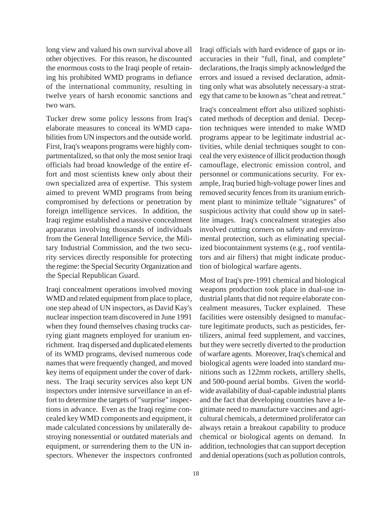long view and valued his own survival above all other objectives. For this reason, he discounted the enormous costs to the Iraqi people of retaining his prohibited WMD programs in defiance of the international community, resulting in twelve years of harsh economic sanctions and two wars.

Tucker drew some policy lessons from Iraq's elaborate measures to conceal its WMD capabilities from UN inspectors and the outside world. First, Iraq's weapons programs were highly compartmentalized, so that only the most senior Iraqi officials had broad knowledge of the entire effort and most scientists knew only about their own specialized area of expertise. This system aimed to prevent WMD programs from being compromised by defections or penetration by foreign intelligence services. In addition, the Iraqi regime established a massive concealment apparatus involving thousands of individuals from the General Intelligence Service, the Military Industrial Commission, and the two security services directly responsible for protecting the regime: the Special Security Organization and the Special Republican Guard.

Iraqi concealment operations involved moving WMD and related equipment from place to place, one step ahead of UN inspectors, as David Kay's nuclear inspection team discovered in June 1991 when they found themselves chasing trucks carrying giant magnets employed for uranium enrichment. Iraq dispersed and duplicated elements of its WMD programs, devised numerous code names that were frequently changed, and moved key items of equipment under the cover of darkness. The Iraqi security services also kept UN inspectors under intensive surveillance in an effort to determine the targets of "surprise" inspections in advance. Even as the Iraqi regime concealed key WMD components and equipment, it made calculated concessions by unilaterally destroying nonessential or outdated materials and equipment, or surrendering them to the UN inspectors. Whenever the inspectors confronted Iraqi officials with hard evidence of gaps or inaccuracies in their "full, final, and complete" declarations, the Iraqis simply acknowledged the errors and issued a revised declaration, admitting only what was absolutely necessary-a strategy that came to be known as "cheat and retreat."

Iraq's concealment effort also utilized sophisticated methods of deception and denial. Deception techniques were intended to make WMD programs appear to be legitimate industrial activities, while denial techniques sought to conceal the very existence of illicit production though camouflage, electronic emission control, and personnel or communications security. For example, Iraq buried high-voltage power lines and removed security fences from its uranium enrichment plant to minimize telltale "signatures" of suspicious activity that could show up in satellite images. Iraq's concealment strategies also involved cutting corners on safety and environmental protection, such as eliminating specialized biocontainment systems (e.g., roof ventilators and air filters) that might indicate production of biological warfare agents.

Most of Iraq's pre-1991 chemical and biological weapons production took place in dual-use industrial plants that did not require elaborate concealment measures, Tucker explained. These facilities were ostensibly designed to manufacture legitimate products, such as pesticides, fertilizers, animal feed supplement, and vaccines, but they were secretly diverted to the production of warfare agents. Moreover, Iraq's chemical and biological agents were loaded into standard munitions such as 122mm rockets, artillery shells, and 500-pound aerial bombs. Given the worldwide availability of dual-capable industrial plants and the fact that developing countries have a legitimate need to manufacture vaccines and agricultural chemicals, a determined proliferator can always retain a breakout capability to produce chemical or biological agents on demand. In addition, technologies that can support deception and denial operations (such as pollution controls,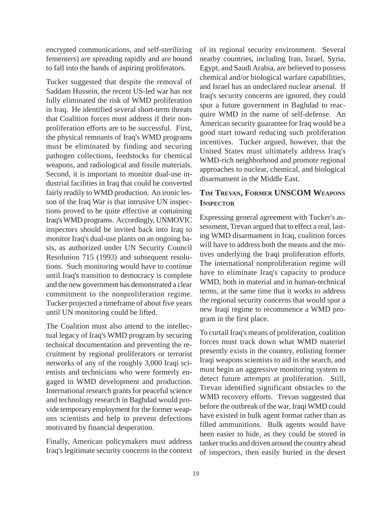encrypted communications, and self-sterilizing fementers) are spreading rapidly and are bound to fall into the hands of aspiring proliferators.

Tucker suggested that despite the removal of Saddam Hussein, the recent US-led war has not fully eliminated the risk of WMD proliferation in Iraq. He identified several short-term threats that Coalition forces must address if their nonproliferation efforts are to be successful. First, the physical remnants of Iraq's WMD programs must be eliminated by finding and securing pathogen collections, feedstocks for chemical weapons, and radiological and fissile materials. Second, it is important to monitor dual-use industrial facilities in Iraq that could be converted fairly readily to WMD production. An ironic lesson of the Iraq War is that intrusive UN inspections proved to be quite effective at containing Iraq's WMD programs. Accordingly, UNMOVIC inspectors should be invited back into Iraq to monitor Iraq's dual-use plants on an ongoing basis, as authorized under UN Security Council Resolution 715 (1993) and subsequent resolutions. Such monitoring would have to continue until Iraq's transition to democracy is complete and the new government has demonstrated a clear commitment to the nonproliferation regime. Tucker projected a timeframe of about five years until UN monitoring could be lifted.

The Coalition must also attend to the intellectual legacy of Iraq's WMD program by securing technical documentation and preventing the recruitment by regional proliferators or terrorist networks of any of the roughly 3,000 Iraqi scientists and technicians who were formerly engaged in WMD development and production. International research grants for peaceful science and technology research in Baghdad would provide temporary employment for the former weapons scientists and help to prevent defections motivated by financial desperation.

Finally, American policymakers must address Iraq's legitimate security concerns in the context of its regional security environment. Several nearby countries, including Iran, Israel, Syria, Egypt, and Saudi Arabia, are believed to possess chemical and/or biological warfare capabilities, and Israel has an undeclared nuclear arsenal. If Iraq's security concerns are ignored, they could spur a future government in Baghdad to reacquire WMD in the name of self-defense. An American security guarantee for Iraq would be a good start toward reducing such proliferation incentives. Tucker argued, however, that the United States must ultimately address Iraq's WMD-rich neighborhood and promote regional approaches to nuclear, chemical, and biological disarmament in the Middle East.

# **TIM TREVAN, FORMER UNSCOM WEAPONS INSPECTOR**

Expressing general agreement with Tucker's assessment, Trevan argued that to effect a real, lasting WMD disarmament in Iraq, coalition forces will have to address both the means and the motives underlying the Iraqi proliferation efforts. The international nonproliferation regime will have to eliminate Iraq's capacity to produce WMD, both in material and in human-technical terms, at the same time that it works to address the regional security concerns that would spur a new Iraqi regime to recommence a WMD program in the first place.

To curtail Iraq's means of proliferation, coalition forces must track down what WMD materiel presently exists in the country, enlisting former Iraqi weapons scientists to aid in the search, and must begin an aggressive monitoring system to detect future attempts at proliferation. Still, Trevan identified significant obstacles to the WMD recovery efforts. Trevan suggested that before the outbreak of the war, Iraqi WMD could have existed in bulk agent format rather than as filled ammunitions. Bulk agents would have been easier to hide, as they could be stored in tanker trucks and driven around the country ahead of inspectors, then easily buried in the desert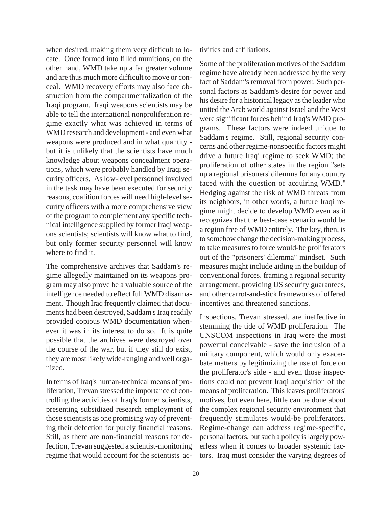when desired, making them very difficult to locate. Once formed into filled munitions, on the other hand, WMD take up a far greater volume and are thus much more difficult to move or conceal. WMD recovery efforts may also face obstruction from the compartmentalization of the Iraqi program. Iraqi weapons scientists may be able to tell the international nonproliferation regime exactly what was achieved in terms of WMD research and development - and even what weapons were produced and in what quantity but it is unlikely that the scientists have much knowledge about weapons concealment operations, which were probably handled by Iraqi security officers. As low-level personnel involved in the task may have been executed for security reasons, coalition forces will need high-level security officers with a more comprehensive view of the program to complement any specific technical intelligence supplied by former Iraqi weapons scientists; scientists will know what to find, but only former security personnel will know where to find it.

The comprehensive archives that Saddam's regime allegedly maintained on its weapons program may also prove be a valuable source of the intelligence needed to effect full WMD disarmament. Though Iraq frequently claimed that documents had been destroyed, Saddam's Iraq readily provided copious WMD documentation whenever it was in its interest to do so. It is quite possible that the archives were destroyed over the course of the war, but if they still do exist, they are most likely wide-ranging and well organized.

In terms of Iraq's human-technical means of proliferation, Trevan stressed the importance of controlling the activities of Iraq's former scientists, presenting subsidized research employment of those scientists as one promising way of preventing their defection for purely financial reasons. Still, as there are non-financial reasons for defection, Trevan suggested a scientist-monitoring regime that would account for the scientists' activities and affiliations.

Some of the proliferation motives of the Saddam regime have already been addressed by the very fact of Saddam's removal from power. Such personal factors as Saddam's desire for power and his desire for a historical legacy as the leader who united the Arab world against Israel and the West were significant forces behind Iraq's WMD programs. These factors were indeed unique to Saddam's regime. Still, regional security concerns and other regime-nonspecific factors might drive a future Iraqi regime to seek WMD; the proliferation of other states in the region "sets up a regional prisoners' dilemma for any country faced with the question of acquiring WMD." Hedging against the risk of WMD threats from its neighbors, in other words, a future Iraqi regime might decide to develop WMD even as it recognizes that the best-case scenario would be a region free of WMD entirely. The key, then, is to somehow change the decision-making process, to take measures to force would-be proliferators out of the "prisoners' dilemma" mindset. Such measures might include aiding in the buildup of conventional forces, framing a regional security arrangement, providing US security guarantees, and other carrot-and-stick frameworks of offered incentives and threatened sanctions.

Inspections, Trevan stressed, are ineffective in stemming the tide of WMD proliferation. The UNSCOM inspections in Iraq were the most powerful conceivable - save the inclusion of a military component, which would only exacerbate matters by legitimizing the use of force on the proliferator's side - and even those inspections could not prevent Iraqi acquisition of the means of proliferation. This leaves proliferators' motives, but even here, little can be done about the complex regional security environment that frequently stimulates would-be proliferators. Regime-change can address regime-specific, personal factors, but such a policy is largely powerless when it comes to broader systemic factors. Iraq must consider the varying degrees of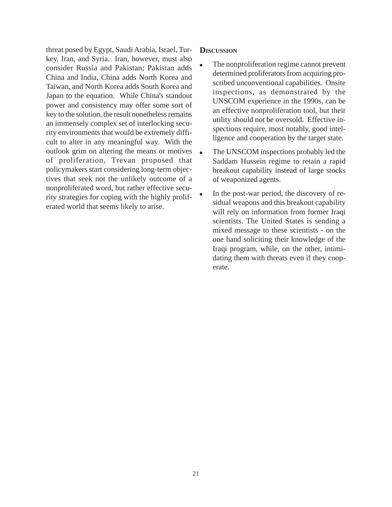threat posed by Egypt, Saudi Arabia, Israel, Turkey, Iran, and Syria. Iran, however, must also consider Russia and Pakistan; Pakistan adds China and India, China adds North Korea and Taiwan, and North Korea adds South Korea and Japan to the equation. While China's standout power and consistency may offer some sort of key to the solution, the result nonetheless remains an immensely complex set of interlocking security environments that would be extremely difficult to alter in any meaningful way. With the outlook grim on altering the means or motives of proliferation, Trevan proposed that policymakers start considering long-term objectives that seek not the unlikely outcome of a nonproliferated word, but rather effective security strategies for coping with the highly proliferated world that seems likely to arise.

#### **DISCUSSION**

- The nonproliferation regime cannot prevent determined proliferators from acquiring proscribed unconventional capabilities. Onsite inspections, as demonstrated by the UNSCOM experience in the 1990s, can be an effective nonproliferation tool, but their utility should not be oversold. Effective inspections require, most notably, good intelligence and cooperation by the target state.
- The UNSCOM inspections probably led the Saddam Hussein regime to retain a rapid breakout capability instead of large stocks of weaponized agents.
- In the post-war period, the discovery of residual weapons and this breakout capability will rely on information from former Iraqi scientists. The United States is sending a mixed message to these scientists - on the one hand soliciting their knowledge of the Iraqi program, while, on the other, intimidating them with threats even if they cooperate.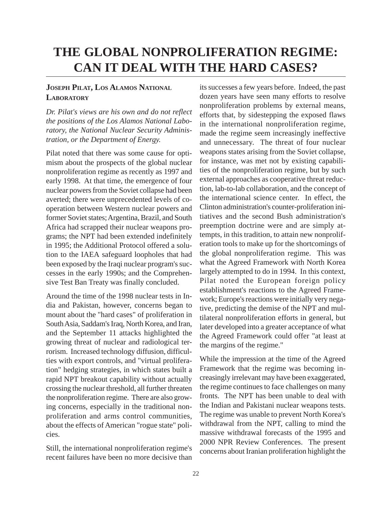# **THE GLOBAL NONPROLIFERATION REGIME: CAN IT DEAL WITH THE HARD CASES?**

## **JOSEPH PILAT, LOS ALAMOS NATIONAL LABORATORY**

*Dr. Pilat's views are his own and do not reflect the positions of the Los Alamos National Laboratory, the National Nuclear Security Administration, or the Department of Energy.*

Pilat noted that there was some cause for optimism about the prospects of the global nuclear nonproliferation regime as recently as 1997 and early 1998. At that time, the emergence of four nuclear powers from the Soviet collapse had been averted; there were unprecedented levels of cooperation between Western nuclear powers and former Soviet states; Argentina, Brazil, and South Africa had scrapped their nuclear weapons programs; the NPT had been extended indefinitely in 1995; the Additional Protocol offered a solution to the IAEA safeguard loopholes that had been exposed by the Iraqi nuclear program's successes in the early 1990s; and the Comprehensive Test Ban Treaty was finally concluded.

Around the time of the 1998 nuclear tests in India and Pakistan, however, concerns began to mount about the "hard cases" of proliferation in South Asia, Saddam's Iraq, North Korea, and Iran, and the September 11 attacks highlighted the growing threat of nuclear and radiological terrorism. Increased technology diffusion, difficulties with export controls, and "virtual proliferation" hedging strategies, in which states built a rapid NPT breakout capability without actually crossing the nuclear threshold, all further threaten the nonproliferation regime. There are also growing concerns, especially in the traditional nonproliferation and arms control communities, about the effects of American "rogue state" policies.

Still, the international nonproliferation regime's recent failures have been no more decisive than its successes a few years before. Indeed, the past dozen years have seen many efforts to resolve nonproliferation problems by external means, efforts that, by sidestepping the exposed flaws in the international nonproliferation regime, made the regime seem increasingly ineffective and unnecessary. The threat of four nuclear weapons states arising from the Soviet collapse, for instance, was met not by existing capabilities of the nonproliferation regime, but by such external approaches as cooperative threat reduction, lab-to-lab collaboration, and the concept of the international science center. In effect, the Clinton administration's counter-proliferation initiatives and the second Bush administration's preemption doctrine were and are simply attempts, in this tradition, to attain new nonproliferation tools to make up for the shortcomings of the global nonproliferation regime. This was what the Agreed Framework with North Korea largely attempted to do in 1994. In this context, Pilat noted the European foreign policy establishment's reactions to the Agreed Framework; Europe's reactions were initially very negative, predicting the demise of the NPT and multilateral nonproliferation efforts in general, but later developed into a greater acceptance of what the Agreed Framework could offer "at least at the margins of the regime."

While the impression at the time of the Agreed Framework that the regime was becoming increasingly irrelevant may have been exaggerated, the regime continues to face challenges on many fronts. The NPT has been unable to deal with the Indian and Pakistani nuclear weapons tests. The regime was unable to prevent North Korea's withdrawal from the NPT, calling to mind the massive withdrawal forecasts of the 1995 and 2000 NPR Review Conferences. The present concerns about Iranian proliferation highlight the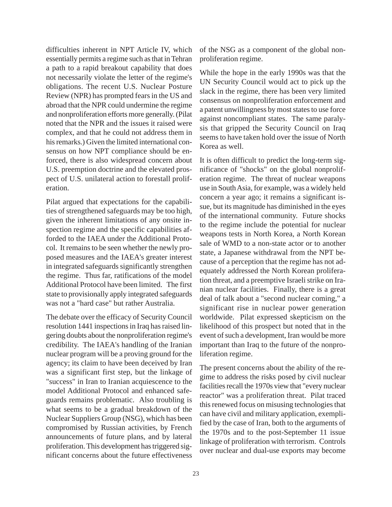difficulties inherent in NPT Article IV, which essentially permits a regime such as that in Tehran a path to a rapid breakout capability that does not necessarily violate the letter of the regime's obligations. The recent U.S. Nuclear Posture Review (NPR) has prompted fears in the US and abroad that the NPR could undermine the regime and nonproliferation efforts more generally. (Pilat noted that the NPR and the issues it raised were complex, and that he could not address them in his remarks.) Given the limited international consensus on how NPT compliance should be enforced, there is also widespread concern about U.S. preemption doctrine and the elevated prospect of U.S. unilateral action to forestall proliferation.

Pilat argued that expectations for the capabilities of strengthened safeguards may be too high, given the inherent limitations of any onsite inspection regime and the specific capabilities afforded to the IAEA under the Additional Protocol. It remains to be seen whether the newly proposed measures and the IAEA's greater interest in integrated safeguards significantly strengthen the regime. Thus far, ratifications of the model Additional Protocol have been limited. The first state to provisionally apply integrated safeguards was not a "hard case" but rather Australia.

The debate over the efficacy of Security Council resolution 1441 inspections in Iraq has raised lingering doubts about the nonproliferation regime's credibility. The IAEA's handling of the Iranian nuclear program will be a proving ground for the agency; its claim to have been deceived by Iran was a significant first step, but the linkage of "success" in Iran to Iranian acquiescence to the model Additional Protocol and enhanced safeguards remains problematic. Also troubling is what seems to be a gradual breakdown of the Nuclear Suppliers Group (NSG), which has been compromised by Russian activities, by French announcements of future plans, and by lateral proliferation. This development has triggered significant concerns about the future effectiveness

of the NSG as a component of the global nonproliferation regime.

While the hope in the early 1990s was that the UN Security Council would act to pick up the slack in the regime, there has been very limited consensus on nonproliferation enforcement and a patent unwillingness by most states to use force against noncompliant states. The same paralysis that gripped the Security Council on Iraq seems to have taken hold over the issue of North Korea as well.

It is often difficult to predict the long-term significance of "shocks" on the global nonproliferation regime. The threat of nuclear weapons use in South Asia, for example, was a widely held concern a year ago; it remains a significant issue, but its magnitude has diminished in the eyes of the international community. Future shocks to the regime include the potential for nuclear weapons tests in North Korea, a North Korean sale of WMD to a non-state actor or to another state, a Japanese withdrawal from the NPT because of a perception that the regime has not adequately addressed the North Korean proliferation threat, and a preemptive Israeli strike on Iranian nuclear facilities. Finally, there is a great deal of talk about a "second nuclear coming," a significant rise in nuclear power generation worldwide. Pilat expressed skepticism on the likelihood of this prospect but noted that in the event of such a development, Iran would be more important than Iraq to the future of the nonproliferation regime.

The present concerns about the ability of the regime to address the risks posed by civil nuclear facilities recall the 1970s view that "every nuclear reactor" was a proliferation threat. Pilat traced this renewed focus on misusing technologies that can have civil and military application, exemplified by the case of Iran, both to the arguments of the 1970s and to the post-September 11 issue linkage of proliferation with terrorism. Controls over nuclear and dual-use exports may become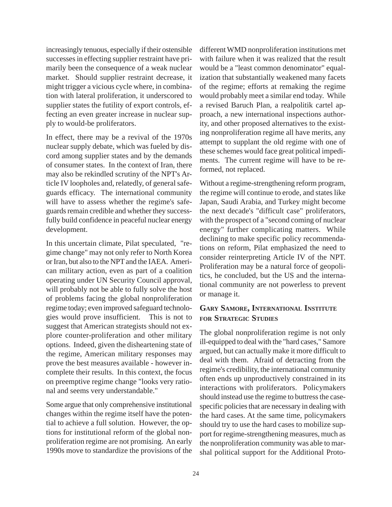increasingly tenuous, especially if their ostensible successes in effecting supplier restraint have primarily been the consequence of a weak nuclear market. Should supplier restraint decrease, it might trigger a vicious cycle where, in combination with lateral proliferation, it underscored to supplier states the futility of export controls, effecting an even greater increase in nuclear supply to would-be proliferators.

In effect, there may be a revival of the 1970s nuclear supply debate, which was fueled by discord among supplier states and by the demands of consumer states. In the context of Iran, there may also be rekindled scrutiny of the NPT's Article IV loopholes and, relatedly, of general safeguards efficacy. The international community will have to assess whether the regime's safeguards remain credible and whether they successfully build confidence in peaceful nuclear energy development.

In this uncertain climate, Pilat speculated, "regime change" may not only refer to North Korea or Iran, but also to the NPT and the IAEA. American military action, even as part of a coalition operating under UN Security Council approval, will probably not be able to fully solve the host of problems facing the global nonproliferation regime today; even improved safeguard technologies would prove insufficient. This is not to suggest that American strategists should not explore counter-proliferation and other military options. Indeed, given the disheartening state of the regime, American military responses may prove the best measures available - however incomplete their results. In this context, the focus on preemptive regime change "looks very rational and seems very understandable."

Some argue that only comprehensive institutional changes within the regime itself have the potential to achieve a full solution. However, the options for institutional reform of the global nonproliferation regime are not promising. An early 1990s move to standardize the provisions of the different WMD nonproliferation institutions met with failure when it was realized that the result would be a "least common denominator" equalization that substantially weakened many facets of the regime; efforts at remaking the regime would probably meet a similar end today. While a revised Baruch Plan, a realpolitik cartel approach, a new international inspections authority, and other proposed alternatives to the existing nonproliferation regime all have merits, any attempt to supplant the old regime with one of these schemes would face great political impediments. The current regime will have to be reformed, not replaced.

Without a regime-strengthening reform program, the regime will continue to erode, and states like Japan, Saudi Arabia, and Turkey might become the next decade's "difficult case" proliferators, with the prospect of a "second coming of nuclear energy" further complicating matters. While declining to make specific policy recommendations on reform, Pilat emphasized the need to consider reinterpreting Article IV of the NPT. Proliferation may be a natural force of geopolitics, he concluded, but the US and the international community are not powerless to prevent or manage it.

## **GARY SAMORE, INTERNATIONAL INSTITUTE FOR STRATEGIC STUDIES**

The global nonproliferation regime is not only ill-equipped to deal with the "hard cases," Samore argued, but can actually make it more difficult to deal with them. Afraid of detracting from the regime's credibility, the international community often ends up unproductively constrained in its interactions with proliferators. Policymakers should instead use the regime to buttress the casespecific policies that are necessary in dealing with the hard cases. At the same time, policymakers should try to use the hard cases to mobilize support for regime-strengthening measures, much as the nonproliferation community was able to marshal political support for the Additional Proto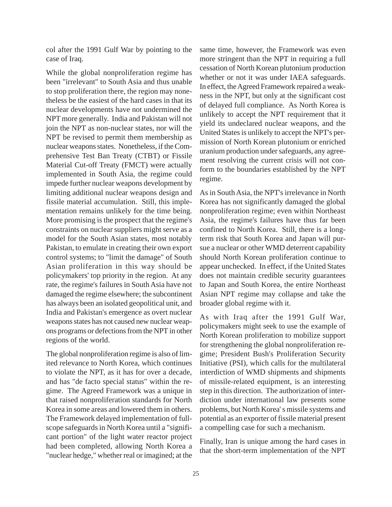col after the 1991 Gulf War by pointing to the case of Iraq.

While the global nonproliferation regime has been "irrelevant" to South Asia and thus unable to stop proliferation there, the region may nonetheless be the easiest of the hard cases in that its nuclear developments have not undermined the NPT more generally. India and Pakistan will not join the NPT as non-nuclear states, nor will the NPT be revised to permit them membership as nuclear weapons states. Nonetheless, if the Comprehensive Test Ban Treaty (CTBT) or Fissile Material Cut-off Treaty (FMCT) were actually implemented in South Asia, the regime could impede further nuclear weapons development by limiting additional nuclear weapons design and fissile material accumulation. Still, this implementation remains unlikely for the time being. More promising is the prospect that the regime's constraints on nuclear suppliers might serve as a model for the South Asian states, most notably Pakistan, to emulate in creating their own export control systems; to "limit the damage" of South Asian proliferation in this way should be policymakers' top priority in the region. At any rate, the regime's failures in South Asia have not damaged the regime elsewhere; the subcontinent has always been an isolated geopolitical unit, and India and Pakistan's emergence as overt nuclear weapons states has not caused new nuclear weapons programs or defections from the NPT in other regions of the world.

The global nonproliferation regime is also of limited relevance to North Korea, which continues to violate the NPT, as it has for over a decade, and has "de facto special status" within the regime. The Agreed Framework was a unique in that raised nonproliferation standards for North Korea in some areas and lowered them in others. The Framework delayed implementation of fullscope safeguards in North Korea until a "significant portion" of the light water reactor project had been completed, allowing North Korea a "nuclear hedge," whether real or imagined; at the

same time, however, the Framework was even more stringent than the NPT in requiring a full cessation of North Korean plutonium production whether or not it was under IAEA safeguards. In effect, the Agreed Framework repaired a weakness in the NPT, but only at the significant cost of delayed full compliance. As North Korea is unlikely to accept the NPT requirement that it yield its undeclared nuclear weapons, and the United States is unlikely to accept the NPT's permission of North Korean plutonium or enriched uranium production under safeguards, any agreement resolving the current crisis will not conform to the boundaries established by the NPT regime.

As in South Asia, the NPT's irrelevance in North Korea has not significantly damaged the global nonproliferation regime; even within Northeast Asia, the regime's failures have thus far been confined to North Korea. Still, there is a longterm risk that South Korea and Japan will pursue a nuclear or other WMD deterrent capability should North Korean proliferation continue to appear unchecked. In effect, if the United States does not maintain credible security guarantees to Japan and South Korea, the entire Northeast Asian NPT regime may collapse and take the broader global regime with it.

As with Iraq after the 1991 Gulf War, policymakers might seek to use the example of North Korean proliferation to mobilize support for strengthening the global nonproliferation regime; President Bush's Proliferation Security Initiative (PSI), which calls for the multilateral interdiction of WMD shipments and shipments of missile-related equipment, is an interesting step in this direction. The authorization of interdiction under international law presents some problems, but North Korea' s missile systems and potential as an exporter of fissile material present a compelling case for such a mechanism.

Finally, Iran is unique among the hard cases in that the short-term implementation of the NPT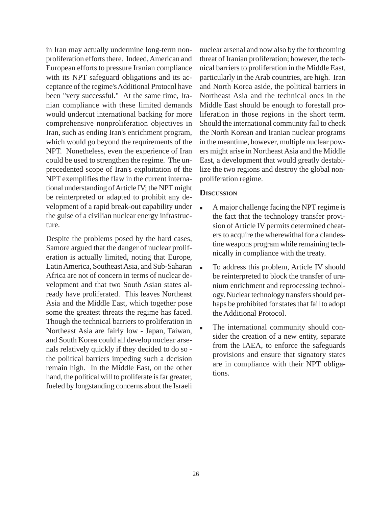in Iran may actually undermine long-term nonproliferation efforts there. Indeed, American and European efforts to pressure Iranian compliance with its NPT safeguard obligations and its acceptance of the regime's Additional Protocol have been "very successful." At the same time, Iranian compliance with these limited demands would undercut international backing for more comprehensive nonproliferation objectives in Iran, such as ending Iran's enrichment program, which would go beyond the requirements of the NPT. Nonetheless, even the experience of Iran could be used to strengthen the regime. The unprecedented scope of Iran's exploitation of the NPT exemplifies the flaw in the current international understanding of Article IV; the NPT might be reinterpreted or adapted to prohibit any development of a rapid break-out capability under the guise of a civilian nuclear energy infrastructure.

Despite the problems posed by the hard cases, Samore argued that the danger of nuclear proliferation is actually limited, noting that Europe, Latin America, Southeast Asia, and Sub-Saharan Africa are not of concern in terms of nuclear development and that two South Asian states already have proliferated. This leaves Northeast Asia and the Middle East, which together pose some the greatest threats the regime has faced. Though the technical barriers to proliferation in Northeast Asia are fairly low - Japan, Taiwan, and South Korea could all develop nuclear arsenals relatively quickly if they decided to do so the political barriers impeding such a decision remain high. In the Middle East, on the other hand, the political will to proliferate is far greater, fueled by longstanding concerns about the Israeli

nuclear arsenal and now also by the forthcoming threat of Iranian proliferation; however, the technical barriers to proliferation in the Middle East, particularly in the Arab countries, are high. Iran and North Korea aside, the political barriers in Northeast Asia and the technical ones in the Middle East should be enough to forestall proliferation in those regions in the short term. Should the international community fail to check the North Korean and Iranian nuclear programs in the meantime, however, multiple nuclear powers might arise in Northeast Asia and the Middle East, a development that would greatly destabilize the two regions and destroy the global nonproliferation regime.

#### **DISCUSSION**

- A major challenge facing the NPT regime is the fact that the technology transfer provision of Article IV permits determined cheaters to acquire the wherewithal for a clandestine weapons program while remaining technically in compliance with the treaty.
- To address this problem, Article IV should be reinterpreted to block the transfer of uranium enrichment and reprocessing technology. Nuclear technology transfers should perhaps be prohibited for states that fail to adopt the Additional Protocol.
- The international community should consider the creation of a new entity, separate from the IAEA, to enforce the safeguards provisions and ensure that signatory states are in compliance with their NPT obligations.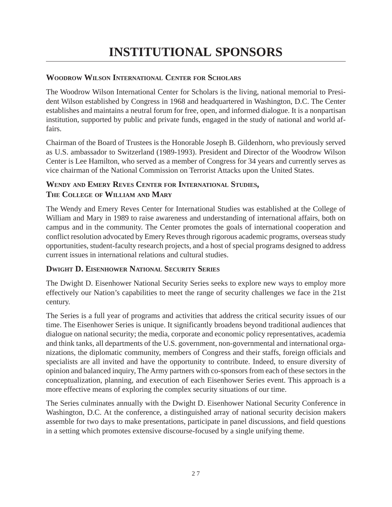# **WOODROW WILSON INTERNATIONAL CENTER FOR SCHOLARS**

The Woodrow Wilson International Center for Scholars is the living, national memorial to President Wilson established by Congress in 1968 and headquartered in Washington, D.C. The Center establishes and maintains a neutral forum for free, open, and informed dialogue. It is a nonpartisan institution, supported by public and private funds, engaged in the study of national and world affairs.

Chairman of the Board of Trustees is the Honorable Joseph B. Gildenhorn, who previously served as U.S. ambassador to Switzerland (1989-1993). President and Director of the Woodrow Wilson Center is Lee Hamilton, who served as a member of Congress for 34 years and currently serves as vice chairman of the National Commission on Terrorist Attacks upon the United States.

# **WENDY AND EMERY REVES CENTER FOR INTERNATIONAL STUDIES, THE COLLEGE OF WILLIAM AND MARY**

The Wendy and Emery Reves Center for International Studies was established at the College of William and Mary in 1989 to raise awareness and understanding of international affairs, both on campus and in the community. The Center promotes the goals of international cooperation and conflict resolution advocated by Emery Reves through rigorous academic programs, overseas study opportunities, student-faculty research projects, and a host of special programs designed to address current issues in international relations and cultural studies.

# **DWIGHT D. EISENHOWER NATIONAL SECURITY SERIES**

The Dwight D. Eisenhower National Security Series seeks to explore new ways to employ more effectively our Nation's capabilities to meet the range of security challenges we face in the 21st century.

The Series is a full year of programs and activities that address the critical security issues of our time. The Eisenhower Series is unique. It significantly broadens beyond traditional audiences that dialogue on national security; the media, corporate and economic policy representatives, academia and think tanks, all departments of the U.S. government, non-governmental and international organizations, the diplomatic community, members of Congress and their staffs, foreign officials and specialists are all invited and have the opportunity to contribute. Indeed, to ensure diversity of opinion and balanced inquiry, The Army partners with co-sponsors from each of these sectors in the conceptualization, planning, and execution of each Eisenhower Series event. This approach is a more effective means of exploring the complex security situations of our time.

The Series culminates annually with the Dwight D. Eisenhower National Security Conference in Washington, D.C. At the conference, a distinguished array of national security decision makers assemble for two days to make presentations, participate in panel discussions, and field questions in a setting which promotes extensive discourse-focused by a single unifying theme.